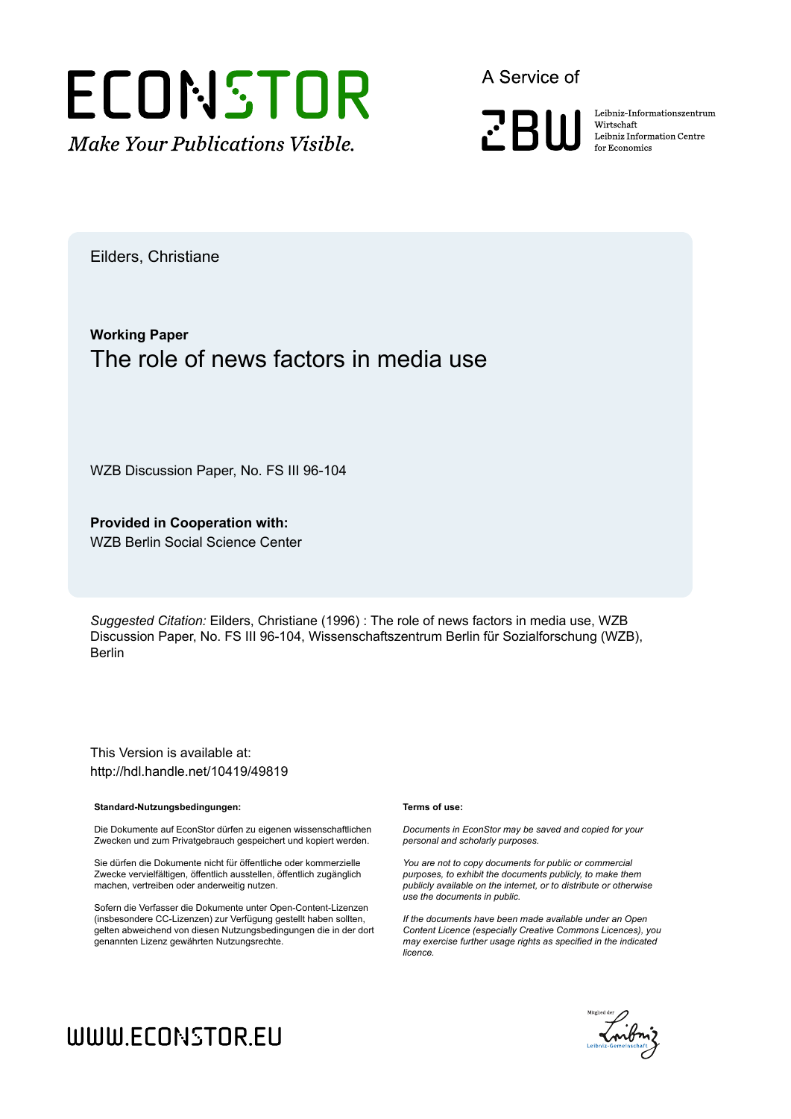

A Service of

**PRIII** 

Leibniz-Informationszentrum Wirtschaft Leibniz Information Centre for Economics

Eilders, Christiane

## **Working Paper** The role of news factors in media use

WZB Discussion Paper, No. FS III 96-104

**Provided in Cooperation with:** WZB Berlin Social Science Center

*Suggested Citation:* Eilders, Christiane (1996) : The role of news factors in media use, WZB Discussion Paper, No. FS III 96-104, Wissenschaftszentrum Berlin für Sozialforschung (WZB), Berlin

This Version is available at: http://hdl.handle.net/10419/49819

#### **Standard-Nutzungsbedingungen:**

Die Dokumente auf EconStor dürfen zu eigenen wissenschaftlichen Zwecken und zum Privatgebrauch gespeichert und kopiert werden.

Sie dürfen die Dokumente nicht für öffentliche oder kommerzielle Zwecke vervielfältigen, öffentlich ausstellen, öffentlich zugänglich machen, vertreiben oder anderweitig nutzen.

Sofern die Verfasser die Dokumente unter Open-Content-Lizenzen (insbesondere CC-Lizenzen) zur Verfügung gestellt haben sollten, gelten abweichend von diesen Nutzungsbedingungen die in der dort genannten Lizenz gewährten Nutzungsrechte.

#### **Terms of use:**

*Documents in EconStor may be saved and copied for your personal and scholarly purposes.*

*You are not to copy documents for public or commercial purposes, to exhibit the documents publicly, to make them publicly available on the internet, or to distribute or otherwise use the documents in public.*

*If the documents have been made available under an Open Content Licence (especially Creative Commons Licences), you may exercise further usage rights as specified in the indicated licence.*



# WWW.ECONSTOR.EU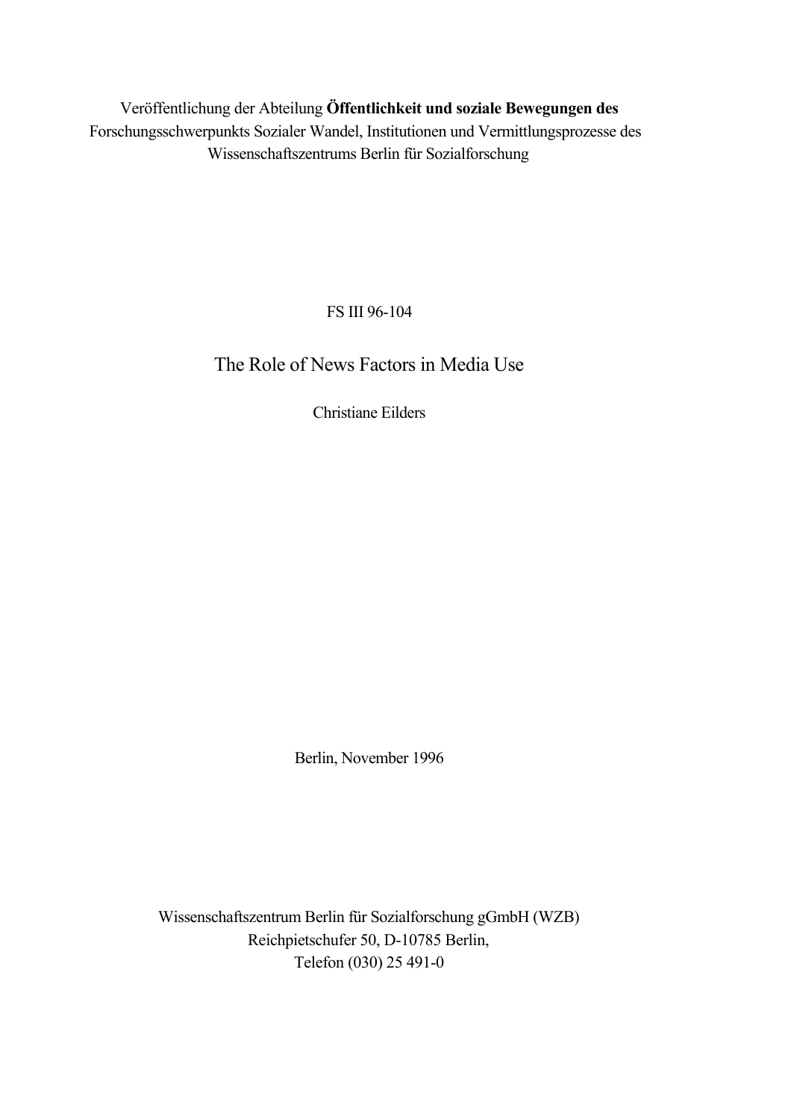Veröffentlichung der Abteilung **Öffentlichkeit und soziale Bewegungen des** Forschungsschwerpunkts Sozialer Wandel, Institutionen und Vermittlungsprozesse des Wissenschaftszentrums Berlin für Sozialforschung

FS III 96-104

The Role of News Factors in Media Use

Christiane Eilders

Berlin, November 1996

Wissenschaftszentrum Berlin für Sozialforschung gGmbH (WZB) Reichpietschufer 50, D-10785 Berlin, Telefon (030) 25 491-0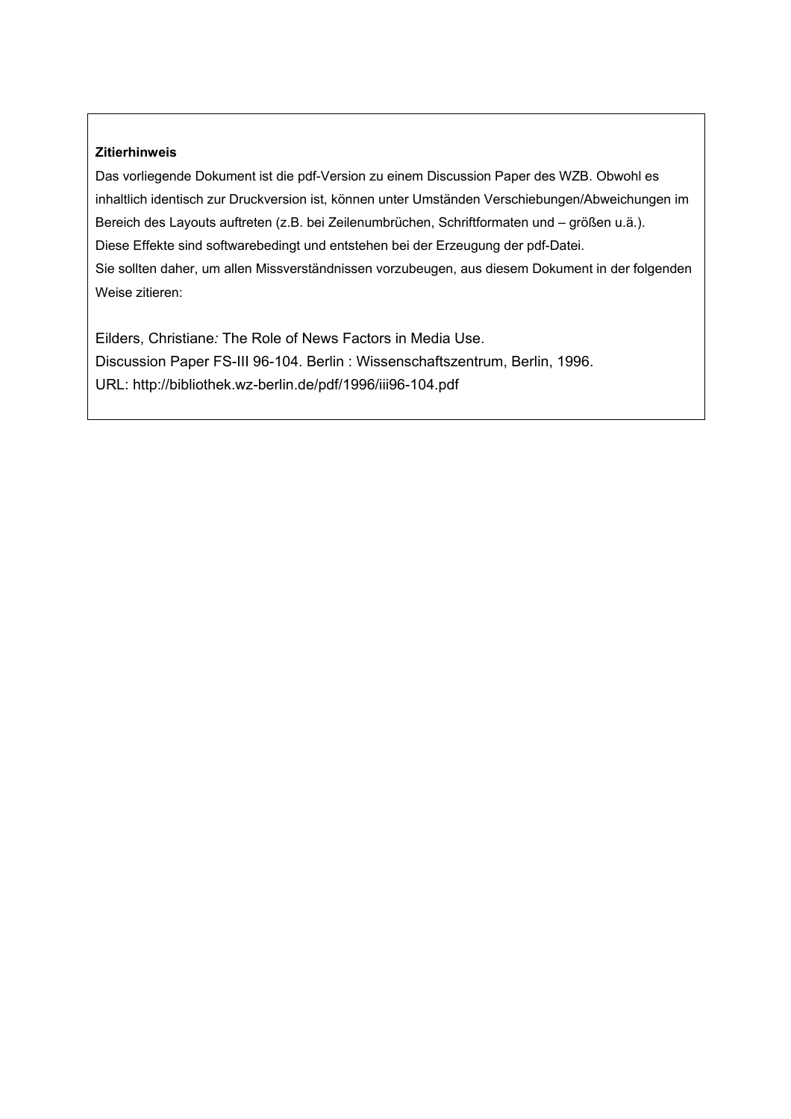#### **Zitierhinweis**

Das vorliegende Dokument ist die pdf-Version zu einem Discussion Paper des WZB. Obwohl es inhaltlich identisch zur Druckversion ist, können unter Umständen Verschiebungen/Abweichungen im Bereich des Layouts auftreten (z.B. bei Zeilenumbrüchen, Schriftformaten und – größen u.ä.). Diese Effekte sind softwarebedingt und entstehen bei der Erzeugung der pdf-Datei. Sie sollten daher, um allen Missverständnissen vorzubeugen, aus diesem Dokument in der folgenden Weise zitieren:

Eilders, Christiane*:* The Role of News Factors in Media Use. Discussion Paper FS-III 96-104. Berlin : Wissenschaftszentrum, Berlin, 1996. URL: http://bibliothek.wz-berlin.de/pdf/1996/iii96-104.pdf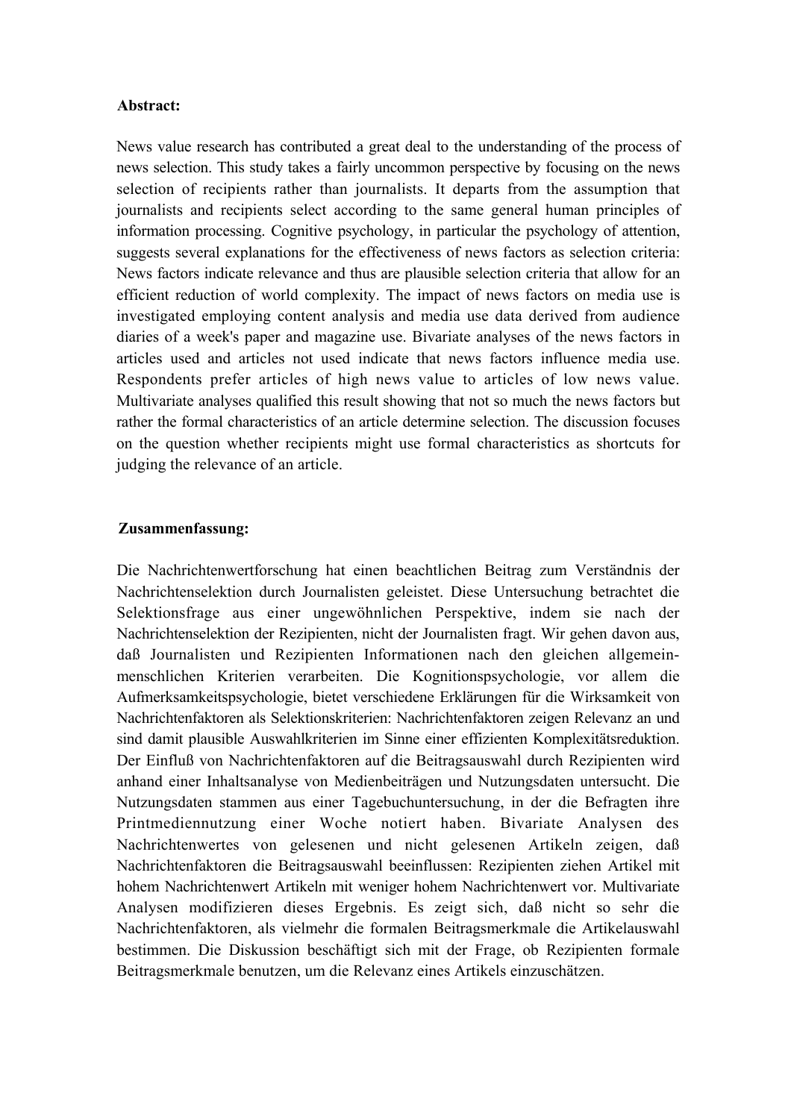#### **Abstract:**

News value research has contributed a great deal to the understanding of the process of news selection. This study takes a fairly uncommon perspective by focusing on the news selection of recipients rather than journalists. It departs from the assumption that journalists and recipients select according to the same general human principles of information processing. Cognitive psychology, in particular the psychology of attention, suggests several explanations for the effectiveness of news factors as selection criteria: News factors indicate relevance and thus are plausible selection criteria that allow for an efficient reduction of world complexity. The impact of news factors on media use is investigated employing content analysis and media use data derived from audience diaries of a week's paper and magazine use. Bivariate analyses of the news factors in articles used and articles not used indicate that news factors influence media use. Respondents prefer articles of high news value to articles of low news value. Multivariate analyses qualified this result showing that not so much the news factors but rather the formal characteristics of an article determine selection. The discussion focuses on the question whether recipients might use formal characteristics as shortcuts for judging the relevance of an article.

#### **Zusammenfassung:**

Die Nachrichtenwertforschung hat einen beachtlichen Beitrag zum Verständnis der Nachrichtenselektion durch Journalisten geleistet. Diese Untersuchung betrachtet die Selektionsfrage aus einer ungewöhnlichen Perspektive, indem sie nach der Nachrichtenselektion der Rezipienten, nicht der Journalisten fragt. Wir gehen davon aus, daß Journalisten und Rezipienten Informationen nach den gleichen allgemeinmenschlichen Kriterien verarbeiten. Die Kognitionspsychologie, vor allem die Aufmerksamkeitspsychologie, bietet verschiedene Erklärungen für die Wirksamkeit von Nachrichtenfaktoren als Selektionskriterien: Nachrichtenfaktoren zeigen Relevanz an und sind damit plausible Auswahlkriterien im Sinne einer effizienten Komplexitätsreduktion. Der Einfluß von Nachrichtenfaktoren auf die Beitragsauswahl durch Rezipienten wird anhand einer Inhaltsanalyse von Medienbeiträgen und Nutzungsdaten untersucht. Die Nutzungsdaten stammen aus einer Tagebuchuntersuchung, in der die Befragten ihre Printmediennutzung einer Woche notiert haben. Bivariate Analysen des Nachrichtenwertes von gelesenen und nicht gelesenen Artikeln zeigen, daß Nachrichtenfaktoren die Beitragsauswahl beeinflussen: Rezipienten ziehen Artikel mit hohem Nachrichtenwert Artikeln mit weniger hohem Nachrichtenwert vor. Multivariate Analysen modifizieren dieses Ergebnis. Es zeigt sich, daß nicht so sehr die Nachrichtenfaktoren, als vielmehr die formalen Beitragsmerkmale die Artikelauswahl bestimmen. Die Diskussion beschäftigt sich mit der Frage, ob Rezipienten formale Beitragsmerkmale benutzen, um die Relevanz eines Artikels einzuschätzen.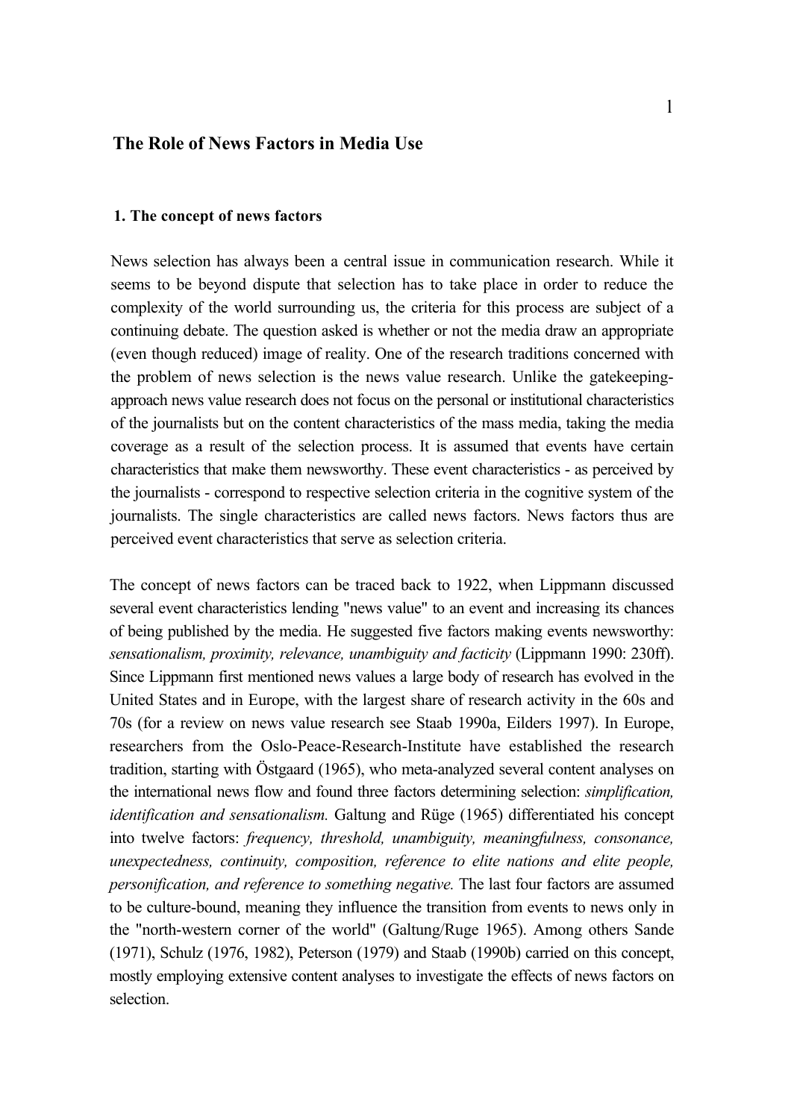## **The Role of News Factors in Media Use**

#### **1. The concept of news factors**

News selection has always been a central issue in communication research. While it seems to be beyond dispute that selection has to take place in order to reduce the complexity of the world surrounding us, the criteria for this process are subject of a continuing debate. The question asked is whether or not the media draw an appropriate (even though reduced) image of reality. One of the research traditions concerned with the problem of news selection is the news value research. Unlike the gatekeepingapproach news value research does not focus on the personal or institutional characteristics of the journalists but on the content characteristics of the mass media, taking the media coverage as a result of the selection process. It is assumed that events have certain characteristics that make them newsworthy. These event characteristics - as perceived by the journalists - correspond to respective selection criteria in the cognitive system of the journalists. The single characteristics are called news factors. News factors thus are perceived event characteristics that serve as selection criteria.

The concept of news factors can be traced back to 1922, when Lippmann discussed several event characteristics lending "news value" to an event and increasing its chances of being published by the media. He suggested five factors making events newsworthy: *sensationalism, proximity, relevance, unambiguity and facticity* (Lippmann 1990: 230ff). Since Lippmann first mentioned news values a large body of research has evolved in the United States and in Europe, with the largest share of research activity in the 60s and 70s (for a review on news value research see Staab 1990a, Eilders 1997). In Europe, researchers from the Oslo-Peace-Research-Institute have established the research tradition, starting with Östgaard (1965), who meta-analyzed several content analyses on the international news flow and found three factors determining selection: *simplification, identification and sensationalism.* Galtung and Rüge (1965) differentiated his concept into twelve factors: *frequency, threshold, unambiguity, meaningfulness, consonance, unexpectedness, continuity, composition, reference to elite nations and elite people, personification, and reference to something negative.* The last four factors are assumed to be culture-bound, meaning they influence the transition from events to news only in the "north-western corner of the world" (Galtung/Ruge 1965). Among others Sande (1971), Schulz (1976, 1982), Peterson (1979) and Staab (1990b) carried on this concept, mostly employing extensive content analyses to investigate the effects of news factors on selection.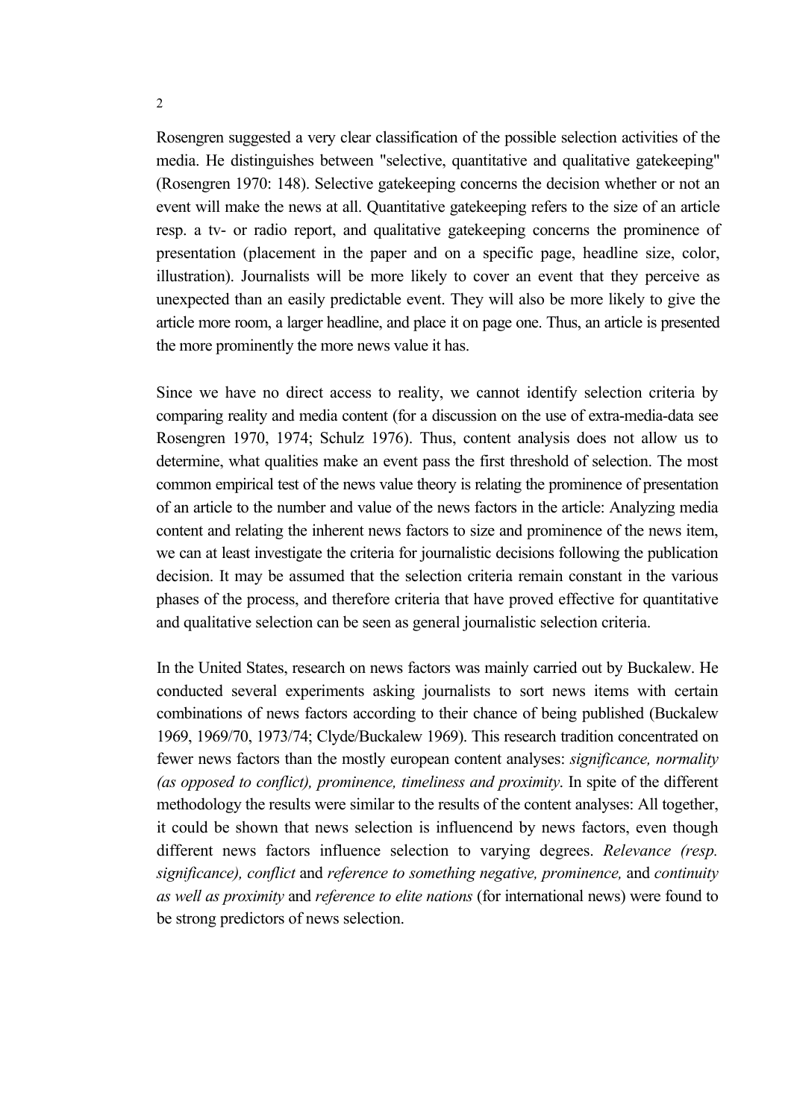Rosengren suggested a very clear classification of the possible selection activities of the media. He distinguishes between "selective, quantitative and qualitative gatekeeping" (Rosengren 1970: 148). Selective gatekeeping concerns the decision whether or not an event will make the news at all. Quantitative gatekeeping refers to the size of an article resp. a tv- or radio report, and qualitative gatekeeping concerns the prominence of presentation (placement in the paper and on a specific page, headline size, color, illustration). Journalists will be more likely to cover an event that they perceive as unexpected than an easily predictable event. They will also be more likely to give the article more room, a larger headline, and place it on page one. Thus, an article is presented the more prominently the more news value it has.

Since we have no direct access to reality, we cannot identify selection criteria by comparing reality and media content (for a discussion on the use of extra-media-data see Rosengren 1970, 1974; Schulz 1976). Thus, content analysis does not allow us to determine, what qualities make an event pass the first threshold of selection. The most common empirical test of the news value theory is relating the prominence of presentation of an article to the number and value of the news factors in the article: Analyzing media content and relating the inherent news factors to size and prominence of the news item, we can at least investigate the criteria for journalistic decisions following the publication decision. It may be assumed that the selection criteria remain constant in the various phases of the process, and therefore criteria that have proved effective for quantitative and qualitative selection can be seen as general journalistic selection criteria.

In the United States, research on news factors was mainly carried out by Buckalew. He conducted several experiments asking journalists to sort news items with certain combinations of news factors according to their chance of being published (Buckalew 1969, 1969/70, 1973/74; Clyde/Buckalew 1969). This research tradition concentrated on fewer news factors than the mostly european content analyses: *significance, normality (as opposed to conflict), prominence, timeliness and proximity*. In spite of the different methodology the results were similar to the results of the content analyses: All together, it could be shown that news selection is influencend by news factors, even though different news factors influence selection to varying degrees. *Relevance (resp. significance), conflict* and *reference to something negative, prominence,* and *continuity as well as proximity* and *reference to elite nations* (for international news) were found to be strong predictors of news selection.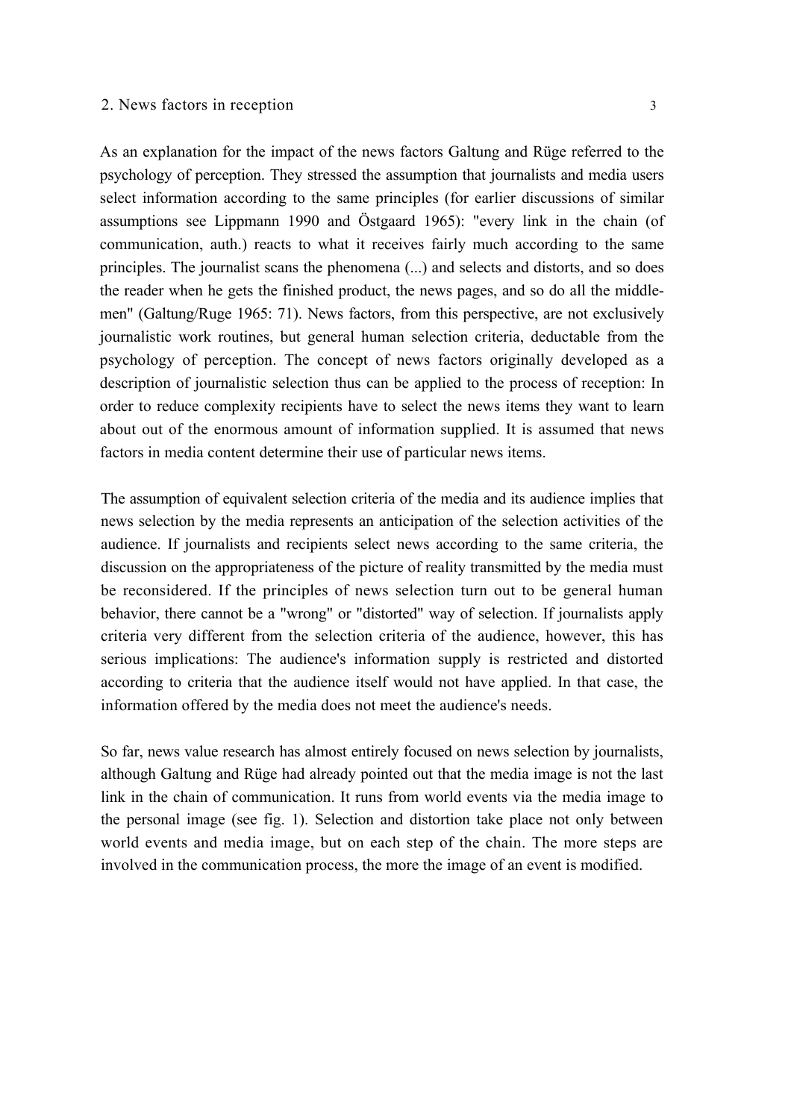As an explanation for the impact of the news factors Galtung and Rüge referred to the psychology of perception. They stressed the assumption that journalists and media users select information according to the same principles (for earlier discussions of similar assumptions see Lippmann 1990 and Östgaard 1965): "every link in the chain (of communication, auth.) reacts to what it receives fairly much according to the same principles. The journalist scans the phenomena (...) and selects and distorts, and so does the reader when he gets the finished product, the news pages, and so do all the middlemen" (Galtung/Ruge 1965: 71). News factors, from this perspective, are not exclusively journalistic work routines, but general human selection criteria, deductable from the psychology of perception. The concept of news factors originally developed as a description of journalistic selection thus can be applied to the process of reception: In order to reduce complexity recipients have to select the news items they want to learn about out of the enormous amount of information supplied. It is assumed that news factors in media content determine their use of particular news items.

The assumption of equivalent selection criteria of the media and its audience implies that news selection by the media represents an anticipation of the selection activities of the audience. If journalists and recipients select news according to the same criteria, the discussion on the appropriateness of the picture of reality transmitted by the media must be reconsidered. If the principles of news selection turn out to be general human behavior, there cannot be a "wrong" or "distorted" way of selection. If journalists apply criteria very different from the selection criteria of the audience, however, this has serious implications: The audience's information supply is restricted and distorted according to criteria that the audience itself would not have applied. In that case, the information offered by the media does not meet the audience's needs.

So far, news value research has almost entirely focused on news selection by journalists, although Galtung and Rüge had already pointed out that the media image is not the last link in the chain of communication. It runs from world events via the media image to the personal image (see fig. 1). Selection and distortion take place not only between world events and media image, but on each step of the chain. The more steps are involved in the communication process, the more the image of an event is modified.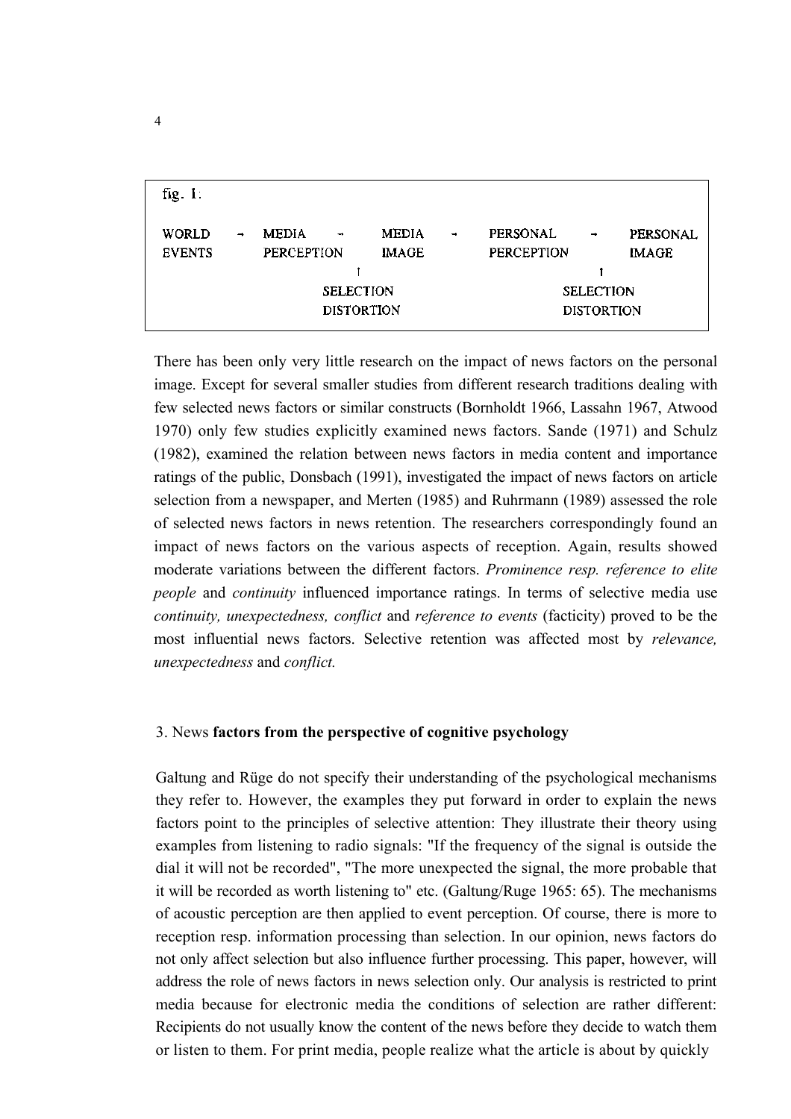| fig. 1:                |               |                            |                                                        |                              |                          |                               |                                                        |                          |
|------------------------|---------------|----------------------------|--------------------------------------------------------|------------------------------|--------------------------|-------------------------------|--------------------------------------------------------|--------------------------|
| WORLD<br><b>EVENTS</b> | $\rightarrow$ | <b>MEDIA</b><br>PERCEPTION | $\rightarrow$<br><b>SELECTION</b><br><b>DISTORTION</b> | <b>MEDIA</b><br><b>IMAGE</b> | $\overline{\phantom{a}}$ | <b>PERSONAL</b><br>PERCEPTION | $\rightarrow$<br><b>SELECTION</b><br><b>DISTORTION</b> | PERSONAL<br><b>IMAGE</b> |
|                        |               |                            |                                                        |                              |                          |                               |                                                        |                          |

There has been only very little research on the impact of news factors on the personal image. Except for several smaller studies from different research traditions dealing with few selected news factors or similar constructs (Bornholdt 1966, Lassahn 1967, Atwood 1970) only few studies explicitly examined news factors. Sande (1971) and Schulz (1982), examined the relation between news factors in media content and importance ratings of the public, Donsbach (1991), investigated the impact of news factors on article selection from a newspaper, and Merten (1985) and Ruhrmann (1989) assessed the role of selected news factors in news retention. The researchers correspondingly found an impact of news factors on the various aspects of reception. Again, results showed moderate variations between the different factors. *Prominence resp. reference to elite people* and *continuity* influenced importance ratings. In terms of selective media use *continuity, unexpectedness, conflict* and *reference to events* (facticity) proved to be the most influential news factors. Selective retention was affected most by *relevance, unexpectedness* and *conflict.*

#### 3. News **factors from the perspective of cognitive psychology**

Galtung and Rüge do not specify their understanding of the psychological mechanisms they refer to. However, the examples they put forward in order to explain the news factors point to the principles of selective attention: They illustrate their theory using examples from listening to radio signals: "If the frequency of the signal is outside the dial it will not be recorded", "The more unexpected the signal, the more probable that it will be recorded as worth listening to" etc. (Galtung/Ruge 1965: 65). The mechanisms of acoustic perception are then applied to event perception. Of course, there is more to reception resp. information processing than selection. In our opinion, news factors do not only affect selection but also influence further processing. This paper, however, will address the role of news factors in news selection only. Our analysis is restricted to print media because for electronic media the conditions of selection are rather different: Recipients do not usually know the content of the news before they decide to watch them or listen to them. For print media, people realize what the article is about by quickly

4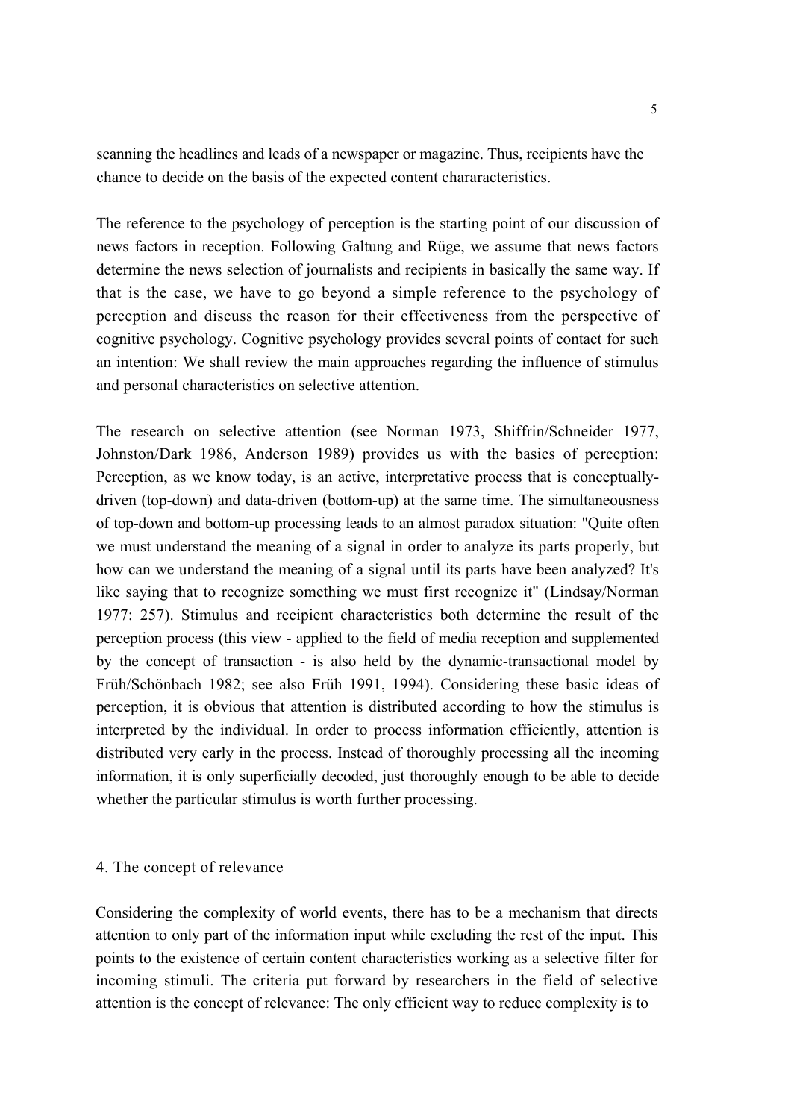scanning the headlines and leads of a newspaper or magazine. Thus, recipients have the chance to decide on the basis of the expected content chararacteristics.

The reference to the psychology of perception is the starting point of our discussion of news factors in reception. Following Galtung and Rüge, we assume that news factors determine the news selection of journalists and recipients in basically the same way. If that is the case, we have to go beyond a simple reference to the psychology of perception and discuss the reason for their effectiveness from the perspective of cognitive psychology. Cognitive psychology provides several points of contact for such an intention: We shall review the main approaches regarding the influence of stimulus and personal characteristics on selective attention.

The research on selective attention (see Norman 1973, Shiffrin/Schneider 1977, Johnston/Dark 1986, Anderson 1989) provides us with the basics of perception: Perception, as we know today, is an active, interpretative process that is conceptuallydriven (top-down) and data-driven (bottom-up) at the same time. The simultaneousness of top-down and bottom-up processing leads to an almost paradox situation: "Quite often we must understand the meaning of a signal in order to analyze its parts properly, but how can we understand the meaning of a signal until its parts have been analyzed? It's like saying that to recognize something we must first recognize it" (Lindsay/Norman 1977: 257). Stimulus and recipient characteristics both determine the result of the perception process (this view - applied to the field of media reception and supplemented by the concept of transaction - is also held by the dynamic-transactional model by Früh/Schönbach 1982; see also Früh 1991, 1994). Considering these basic ideas of perception, it is obvious that attention is distributed according to how the stimulus is interpreted by the individual. In order to process information efficiently, attention is distributed very early in the process. Instead of thoroughly processing all the incoming information, it is only superficially decoded, just thoroughly enough to be able to decide whether the particular stimulus is worth further processing.

#### 4. The concept of relevance

Considering the complexity of world events, there has to be a mechanism that directs attention to only part of the information input while excluding the rest of the input. This points to the existence of certain content characteristics working as a selective filter for incoming stimuli. The criteria put forward by researchers in the field of selective attention is the concept of relevance: The only efficient way to reduce complexity is to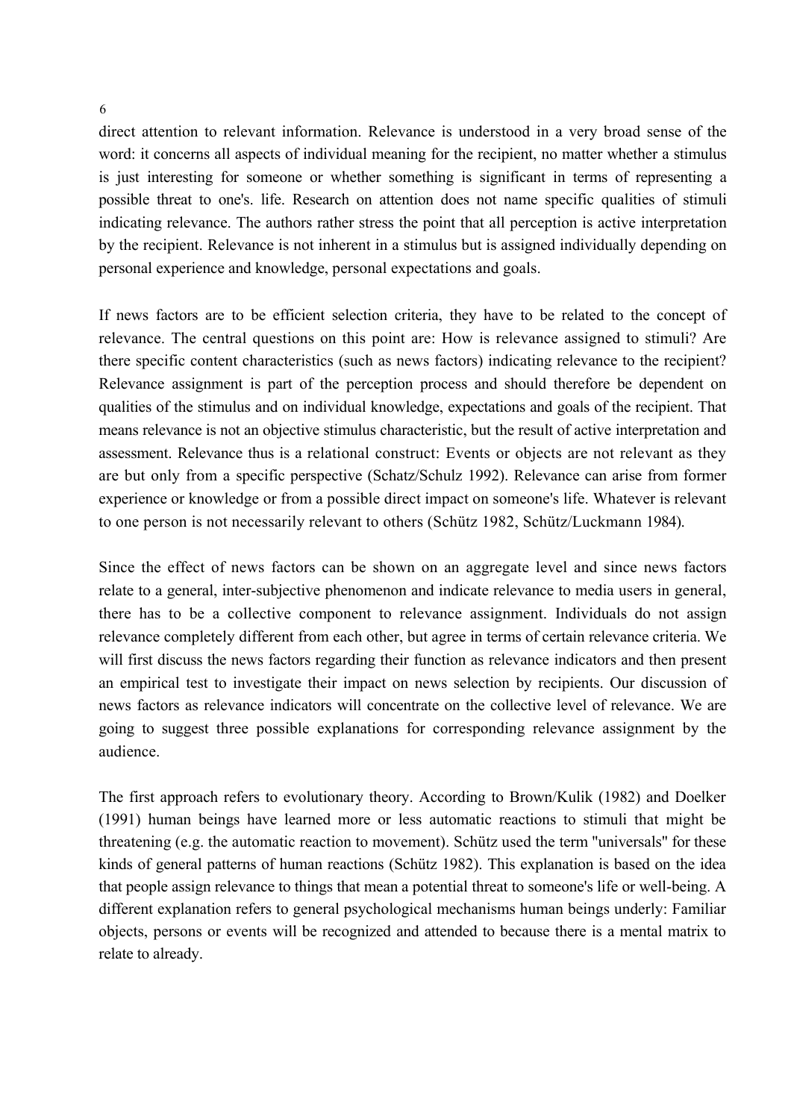direct attention to relevant information. Relevance is understood in a very broad sense of the word: it concerns all aspects of individual meaning for the recipient, no matter whether a stimulus is just interesting for someone or whether something is significant in terms of representing a possible threat to one's. life. Research on attention does not name specific qualities of stimuli indicating relevance. The authors rather stress the point that all perception is active interpretation by the recipient. Relevance is not inherent in a stimulus but is assigned individually depending on personal experience and knowledge, personal expectations and goals.

If news factors are to be efficient selection criteria, they have to be related to the concept of relevance. The central questions on this point are: How is relevance assigned to stimuli? Are there specific content characteristics (such as news factors) indicating relevance to the recipient? Relevance assignment is part of the perception process and should therefore be dependent on qualities of the stimulus and on individual knowledge, expectations and goals of the recipient. That means relevance is not an objective stimulus characteristic, but the result of active interpretation and assessment. Relevance thus is a relational construct: Events or objects are not relevant as they are but only from a specific perspective (Schatz/Schulz 1992). Relevance can arise from former experience or knowledge or from a possible direct impact on someone's life. Whatever is relevant to one person is not necessarily relevant to others (Schütz 1982, Schütz/Luckmann 1984).

Since the effect of news factors can be shown on an aggregate level and since news factors relate to a general, inter-subjective phenomenon and indicate relevance to media users in general, there has to be a collective component to relevance assignment. Individuals do not assign relevance completely different from each other, but agree in terms of certain relevance criteria. We will first discuss the news factors regarding their function as relevance indicators and then present an empirical test to investigate their impact on news selection by recipients. Our discussion of news factors as relevance indicators will concentrate on the collective level of relevance. We are going to suggest three possible explanations for corresponding relevance assignment by the audience.

The first approach refers to evolutionary theory. According to Brown/Kulik (1982) and Doelker (1991) human beings have learned more or less automatic reactions to stimuli that might be threatening (e.g. the automatic reaction to movement). Schütz used the term "universals" for these kinds of general patterns of human reactions (Schütz 1982). This explanation is based on the idea that people assign relevance to things that mean a potential threat to someone's life or well-being. A different explanation refers to general psychological mechanisms human beings underly: Familiar objects, persons or events will be recognized and attended to because there is a mental matrix to relate to already.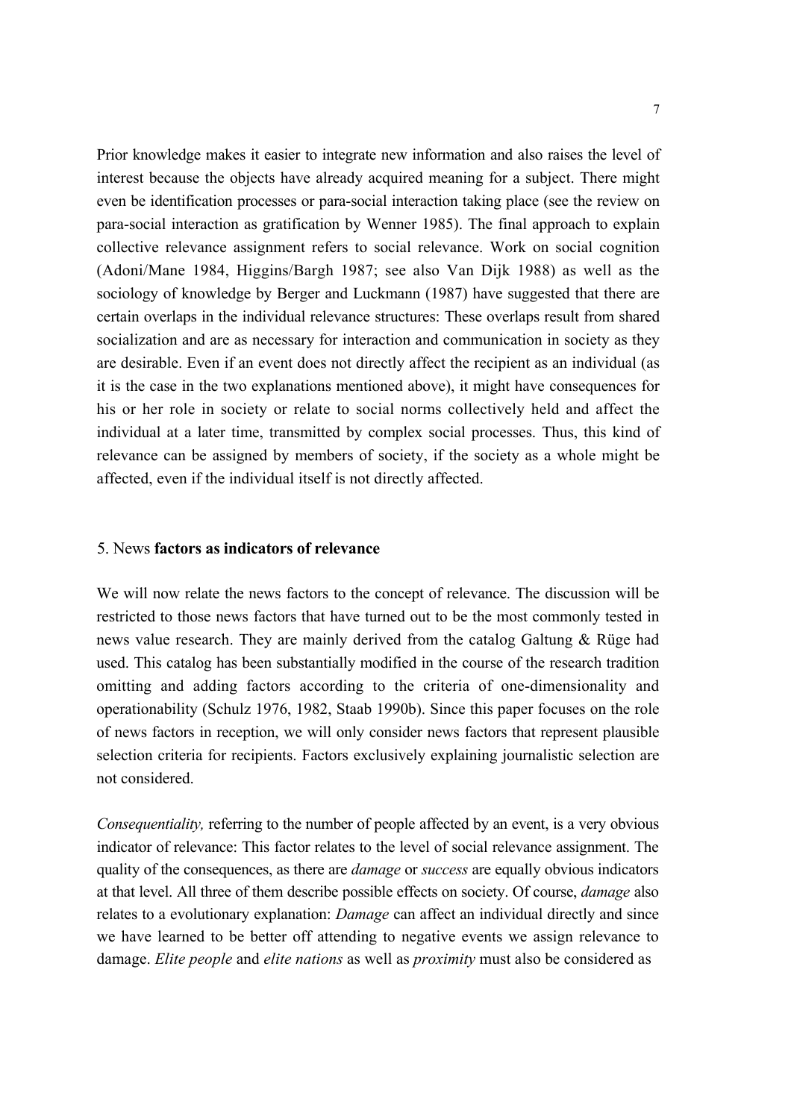Prior knowledge makes it easier to integrate new information and also raises the level of interest because the objects have already acquired meaning for a subject. There might even be identification processes or para-social interaction taking place (see the review on para-social interaction as gratification by Wenner 1985). The final approach to explain collective relevance assignment refers to social relevance. Work on social cognition (Adoni/Mane 1984, Higgins/Bargh 1987; see also Van Dijk 1988) as well as the sociology of knowledge by Berger and Luckmann (1987) have suggested that there are certain overlaps in the individual relevance structures: These overlaps result from shared socialization and are as necessary for interaction and communication in society as they are desirable. Even if an event does not directly affect the recipient as an individual (as it is the case in the two explanations mentioned above), it might have consequences for his or her role in society or relate to social norms collectively held and affect the individual at a later time, transmitted by complex social processes. Thus, this kind of relevance can be assigned by members of society, if the society as a whole might be affected, even if the individual itself is not directly affected.

#### 5. News **factors as indicators of relevance**

We will now relate the news factors to the concept of relevance. The discussion will be restricted to those news factors that have turned out to be the most commonly tested in news value research. They are mainly derived from the catalog Galtung & Rüge had used. This catalog has been substantially modified in the course of the research tradition omitting and adding factors according to the criteria of one-dimensionality and operationability (Schulz 1976, 1982, Staab 1990b). Since this paper focuses on the role of news factors in reception, we will only consider news factors that represent plausible selection criteria for recipients. Factors exclusively explaining journalistic selection are not considered.

*Consequentiality,* referring to the number of people affected by an event, is a very obvious indicator of relevance: This factor relates to the level of social relevance assignment. The quality of the consequences, as there are *damage* or *success* are equally obvious indicators at that level. All three of them describe possible effects on society. Of course, *damage* also relates to a evolutionary explanation: *Damage* can affect an individual directly and since we have learned to be better off attending to negative events we assign relevance to damage. *Elite people* and *elite nations* as well as *proximity* must also be considered as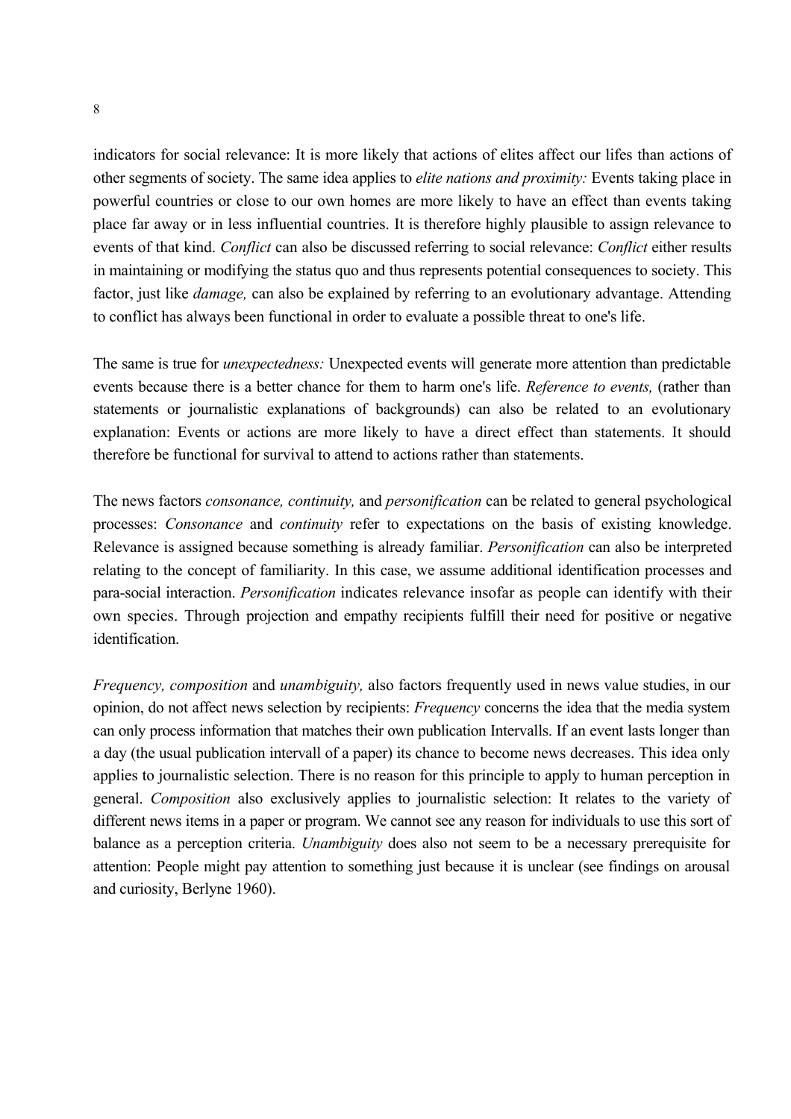indicators for social relevance: It is more likely that actions of elites affect our lifes than actions of other segments of society. The same idea applies to *elite nations and proximity:* Events taking place in powerful countries or close to our own homes are more likely to have an effect than events taking place far away or in less influential countries. It is therefore highly plausible to assign relevance to events of that kind. *Conflict* can also be discussed referring to social relevance: *Conflict* either results in maintaining or modifying the status quo and thus represents potential consequences to society. This factor, just like *damage,* can also be explained by referring to an evolutionary advantage. Attending to conflict has always been functional in order to evaluate a possible threat to one's life.

The same is true for *unexpectedness:* Unexpected events will generate more attention than predictable events because there is a better chance for them to harm one's life. *Reference to events,* (rather than statements or journalistic explanations of backgrounds) can also be related to an evolutionary explanation: Events or actions are more likely to have a direct effect than statements. It should therefore be functional for survival to attend to actions rather than statements.

The news factors *consonance, continuity,* and *personification* can be related to general psychological processes: *Consonance* and *continuity* refer to expectations on the basis of existing knowledge. Relevance is assigned because something is already familiar. *Personification* can also be interpreted relating to the concept of familiarity. In this case, we assume additional identification processes and para-social interaction. *Personification* indicates relevance insofar as people can identify with their own species. Through projection and empathy recipients fulfill their need for positive or negative identification.

*Frequency, composition* and *unambiguity,* also factors frequently used in news value studies, in our opinion, do not affect news selection by recipients: *Frequency* concerns the idea that the media system can only process information that matches their own publication Intervalls. If an event lasts longer than a day (the usual publication intervall of a paper) its chance to become news decreases. This idea only applies to journalistic selection. There is no reason for this principle to apply to human perception in general. *Composition* also exclusively applies to journalistic selection: It relates to the variety of different news items in a paper or program. We cannot see any reason for individuals to use this sort of balance as a perception criteria. *Unambiguity* does also not seem to be a necessary prerequisite for attention: People might pay attention to something just because it is unclear (see findings on arousal and curiosity, Berlyne 1960).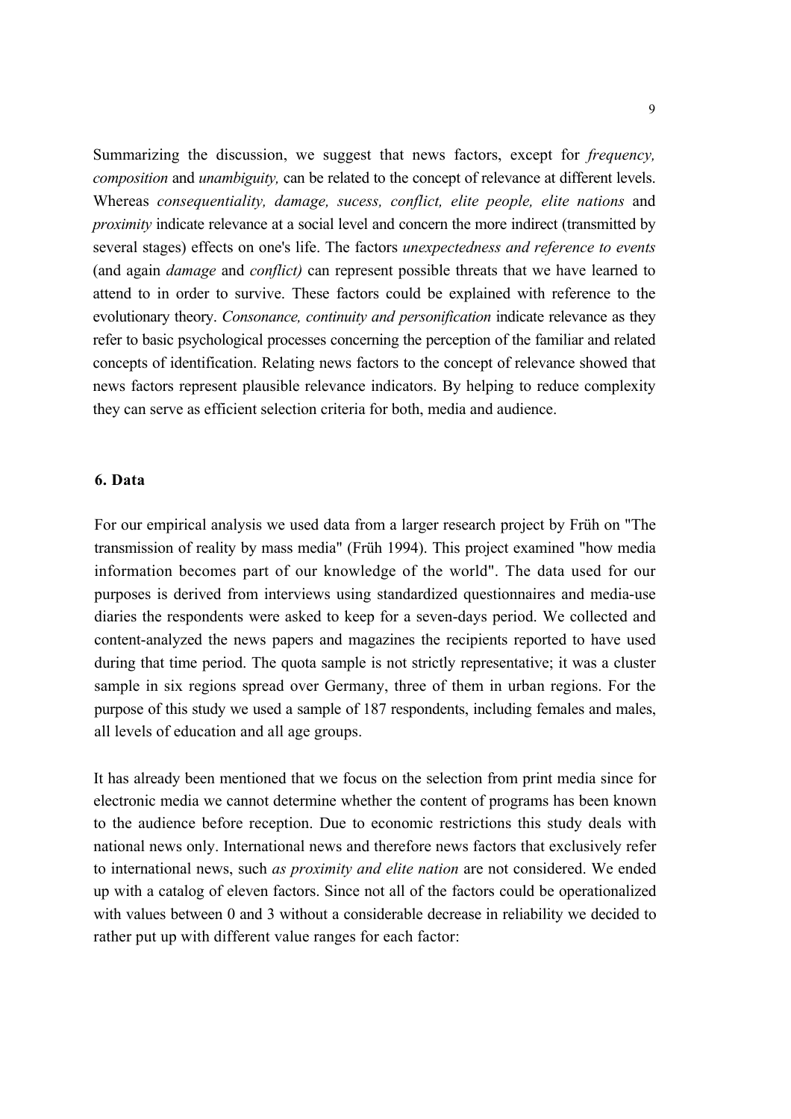Summarizing the discussion, we suggest that news factors, except for *frequency, composition* and *unambiguity,* can be related to the concept of relevance at different levels. Whereas *consequentiality, damage, sucess, conflict, elite people, elite nations* and *proximity* indicate relevance at a social level and concern the more indirect (transmitted by several stages) effects on one's life. The factors *unexpectedness and reference to events*  (and again *damage* and *conflict)* can represent possible threats that we have learned to attend to in order to survive. These factors could be explained with reference to the evolutionary theory. *Consonance, continuity and personification* indicate relevance as they refer to basic psychological processes concerning the perception of the familiar and related concepts of identification. Relating news factors to the concept of relevance showed that news factors represent plausible relevance indicators. By helping to reduce complexity they can serve as efficient selection criteria for both, media and audience.

### **6. Data**

For our empirical analysis we used data from a larger research project by Früh on "The transmission of reality by mass media" (Früh 1994). This project examined "how media information becomes part of our knowledge of the world". The data used for our purposes is derived from interviews using standardized questionnaires and media-use diaries the respondents were asked to keep for a seven-days period. We collected and content-analyzed the news papers and magazines the recipients reported to have used during that time period. The quota sample is not strictly representative; it was a cluster sample in six regions spread over Germany, three of them in urban regions. For the purpose of this study we used a sample of 187 respondents, including females and males, all levels of education and all age groups.

It has already been mentioned that we focus on the selection from print media since for electronic media we cannot determine whether the content of programs has been known to the audience before reception. Due to economic restrictions this study deals with national news only. International news and therefore news factors that exclusively refer to international news, such *as proximity and elite nation* are not considered. We ended up with a catalog of eleven factors. Since not all of the factors could be operationalized with values between 0 and 3 without a considerable decrease in reliability we decided to rather put up with different value ranges for each factor: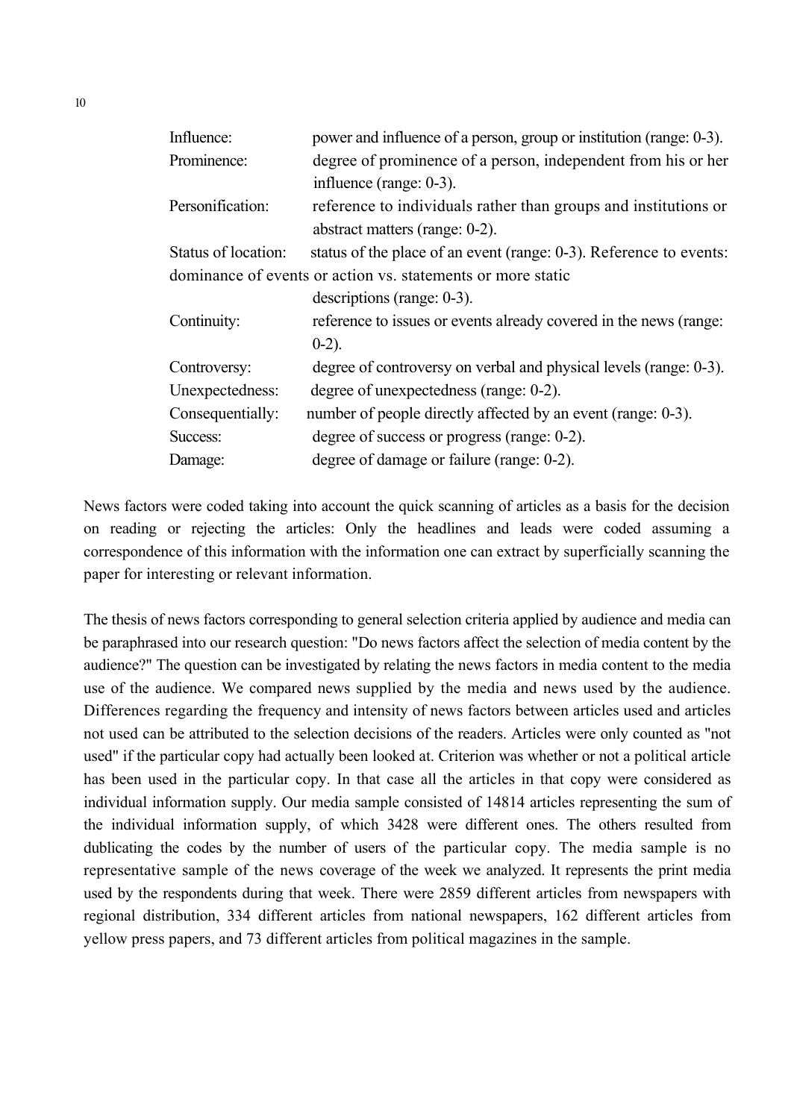| Influence:          | power and influence of a person, group or institution (range: 0-3). |  |  |  |
|---------------------|---------------------------------------------------------------------|--|--|--|
| Prominence:         | degree of prominence of a person, independent from his or her       |  |  |  |
|                     | influence (range: 0-3).                                             |  |  |  |
| Personification:    | reference to individuals rather than groups and institutions or     |  |  |  |
|                     | abstract matters (range: 0-2).                                      |  |  |  |
| Status of location: | status of the place of an event (range: 0-3). Reference to events:  |  |  |  |
|                     | dominance of events or action vs. statements or more static         |  |  |  |
|                     | $descriptions (range: 0-3).$                                        |  |  |  |
| Continuity:         | reference to issues or events already covered in the news (range:   |  |  |  |
|                     | $0-2$ ).                                                            |  |  |  |
| Controversy:        | degree of controversy on verbal and physical levels (range: 0-3).   |  |  |  |
| Unexpectedness:     | degree of unexpectedness (range: 0-2).                              |  |  |  |
| Consequentially:    | number of people directly affected by an event (range: 0-3).        |  |  |  |
| Success:            | degree of success or progress (range: 0-2).                         |  |  |  |
| Damage:             | degree of damage or failure (range: 0-2).                           |  |  |  |
|                     |                                                                     |  |  |  |

News factors were coded taking into account the quick scanning of articles as a basis for the decision on reading or rejecting the articles: Only the headlines and leads were coded assuming a correspondence of this information with the information one can extract by superficially scanning the paper for interesting or relevant information.

The thesis of news factors corresponding to general selection criteria applied by audience and media can be paraphrased into our research question: "Do news factors affect the selection of media content by the audience?" The question can be investigated by relating the news factors in media content to the media use of the audience. We compared news supplied by the media and news used by the audience. Differences regarding the frequency and intensity of news factors between articles used and articles not used can be attributed to the selection decisions of the readers. Articles were only counted as "not used" if the particular copy had actually been looked at. Criterion was whether or not a political article has been used in the particular copy. In that case all the articles in that copy were considered as individual information supply. Our media sample consisted of 14814 articles representing the sum of the individual information supply, of which 3428 were different ones. The others resulted from dublicating the codes by the number of users of the particular copy. The media sample is no representative sample of the news coverage of the week we analyzed. It represents the print media used by the respondents during that week. There were 2859 different articles from newspapers with regional distribution, 334 different articles from national newspapers, 162 different articles from yellow press papers, and 73 different articles from political magazines in the sample.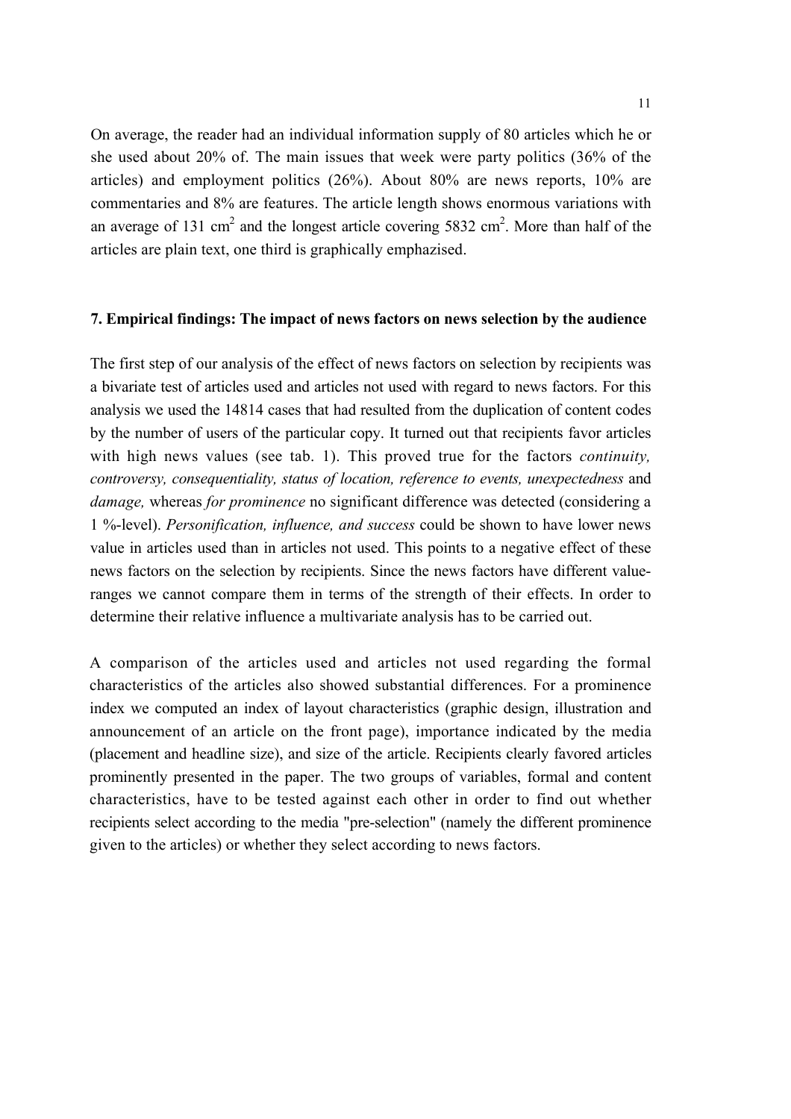On average, the reader had an individual information supply of 80 articles which he or she used about 20% of. The main issues that week were party politics (36% of the articles) and employment politics (26%). About 80% are news reports, 10% are commentaries and 8% are features. The article length shows enormous variations with an average of 131 cm<sup>2</sup> and the longest article covering 5832 cm<sup>2</sup>. More than half of the articles are plain text, one third is graphically emphazised.

#### **7. Empirical findings: The impact of news factors on news selection by the audience**

The first step of our analysis of the effect of news factors on selection by recipients was a bivariate test of articles used and articles not used with regard to news factors. For this analysis we used the 14814 cases that had resulted from the duplication of content codes by the number of users of the particular copy. It turned out that recipients favor articles with high news values (see tab. 1). This proved true for the factors *continuity, controversy, consequentiality, status of location, reference to events, unexpectedness* and *damage,* whereas *for prominence* no significant difference was detected (considering a 1 %-level). *Personification, influence, and success* could be shown to have lower news value in articles used than in articles not used. This points to a negative effect of these news factors on the selection by recipients. Since the news factors have different valueranges we cannot compare them in terms of the strength of their effects. In order to determine their relative influence a multivariate analysis has to be carried out.

A comparison of the articles used and articles not used regarding the formal characteristics of the articles also showed substantial differences. For a prominence index we computed an index of layout characteristics (graphic design, illustration and announcement of an article on the front page), importance indicated by the media (placement and headline size), and size of the article. Recipients clearly favored articles prominently presented in the paper. The two groups of variables, formal and content characteristics, have to be tested against each other in order to find out whether recipients select according to the media "pre-selection" (namely the different prominence given to the articles) or whether they select according to news factors.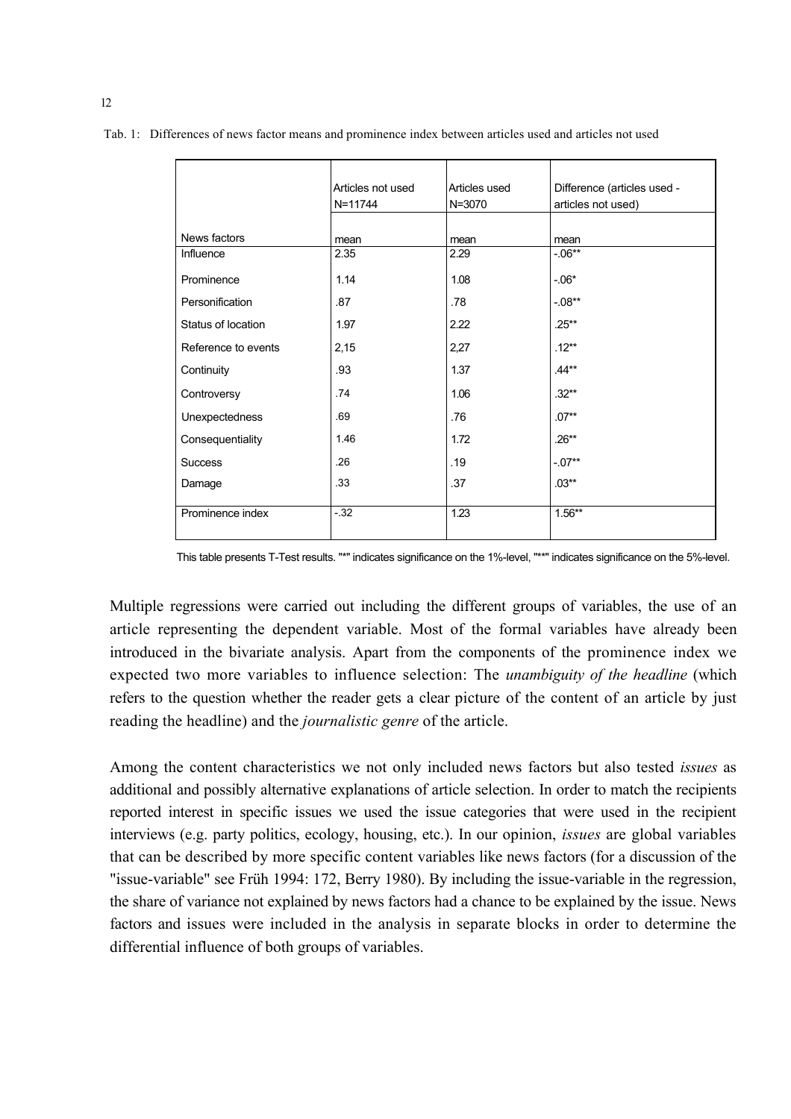|                     | Articles not used | Articles used | Difference (articles used - |
|---------------------|-------------------|---------------|-----------------------------|
|                     | N=11744           | N=3070        | articles not used)          |
|                     |                   |               |                             |
| News factors        | mean              | mean          | mean                        |
| Influence           | 2.35              | 2.29          | $-06**$                     |
| Prominence          | 1.14              | 1.08          | $-06*$                      |
| Personification     | .87               | .78           | $-.08**$                    |
| Status of location  | 1.97              | 2.22          | $.25***$                    |
| Reference to events | 2,15              | 2,27          | $.12**$                     |
| Continuity          | .93               | 1.37          | $.44**$                     |
| Controversy         | .74               | 1.06          | $.32**$                     |
| Unexpectedness      | .69               | .76           | $.07**$                     |
| Consequentiality    | 1.46              | 1.72          | $.26**$                     |
| <b>Success</b>      | .26               | .19           | $-.07**$                    |
| Damage              | .33               | .37           | $.03**$                     |
| Prominence index    | $-32$             | 1.23          | $1.56**$                    |

Tab. 1: Differences of news factor means and prominence index between articles used and articles not used

This table presents T-Test results. "\*" indicates significance on the 1%-level, "\*\*" indicates significance on the 5%-level.

Multiple regressions were carried out including the different groups of variables, the use of an article representing the dependent variable. Most of the formal variables have already been introduced in the bivariate analysis. Apart from the components of the prominence index we expected two more variables to influence selection: The *unambiguity of the headline* (which refers to the question whether the reader gets a clear picture of the content of an article by just reading the headline) and the *journalistic genre* of the article.

Among the content characteristics we not only included news factors but also tested *issues* as additional and possibly alternative explanations of article selection. In order to match the recipients reported interest in specific issues we used the issue categories that were used in the recipient interviews (e.g. party politics, ecology, housing, etc.). In our opinion, *issues* are global variables that can be described by more specific content variables like news factors (for a discussion of the "issue-variable" see Früh 1994: 172, Berry 1980). By including the issue-variable in the regression, the share of variance not explained by news factors had a chance to be explained by the issue. News factors and issues were included in the analysis in separate blocks in order to determine the differential influence of both groups of variables.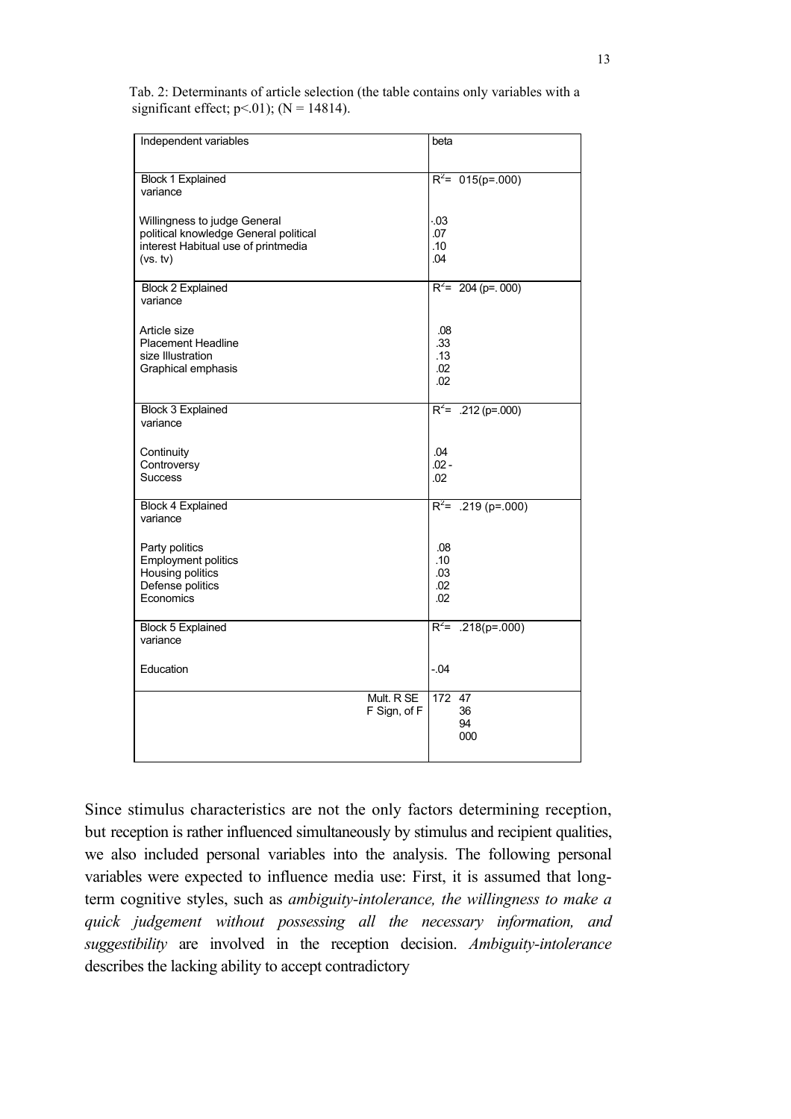| Tab. 2: Determinants of article selection (the table contains only variables with a |  |
|-------------------------------------------------------------------------------------|--|
| significant effect; $p<01$ ); (N = 14814).                                          |  |

| Independent variables                                                 | beta                  |
|-----------------------------------------------------------------------|-----------------------|
| Block 1 Explained<br>variance                                         | $R^2$ = 015(p= 000)   |
| Willingness to judge General<br>political knowledge General political | .03<br>.07            |
| interest Habitual use of printmedia<br>(vs. tv)                       | .10<br>.04            |
|                                                                       |                       |
| Block 2 Explained<br>variance                                         | $R^2$ = 204 (p= 000)  |
| Article size                                                          | .08                   |
| <b>Placement Headline</b>                                             | .33                   |
| size Illustration<br>Graphical emphasis                               | .13<br>.02            |
|                                                                       | .02                   |
| Block 3 Explained                                                     | $R^2$ = .212 (p=.000) |
| variance                                                              |                       |
| Continuity                                                            | .04                   |
| Controversy<br><b>Success</b>                                         | $.02 -$<br>.02        |
| <b>Block 4 Explained</b>                                              | $R^2$ = .219 (p=.000) |
| variance                                                              |                       |
| Party politics                                                        | .08                   |
| <b>Employment politics</b><br>Housing politics                        | .10<br>.03            |
| Defense politics                                                      | .02                   |
| Economics                                                             | .02                   |
| Block 5 Explained                                                     | $R^2$ = .218(p=.000)  |
| variance                                                              |                       |
| Education                                                             | $-0.04$               |
| Mult. R SE<br>F Sign, of F                                            | 172 47<br>36          |
|                                                                       | 94                    |
|                                                                       | 000                   |

Since stimulus characteristics are not the only factors determining reception, but reception is rather influenced simultaneously by stimulus and recipient qualities, we also included personal variables into the analysis. The following personal variables were expected to influence media use: First, it is assumed that longterm cognitive styles, such as *ambiguity-intolerance, the willingness to make a quick judgement without possessing all the necessary information, and suggestibility* are involved in the reception decision. *Ambiguity-intolerance*  describes the lacking ability to accept contradictory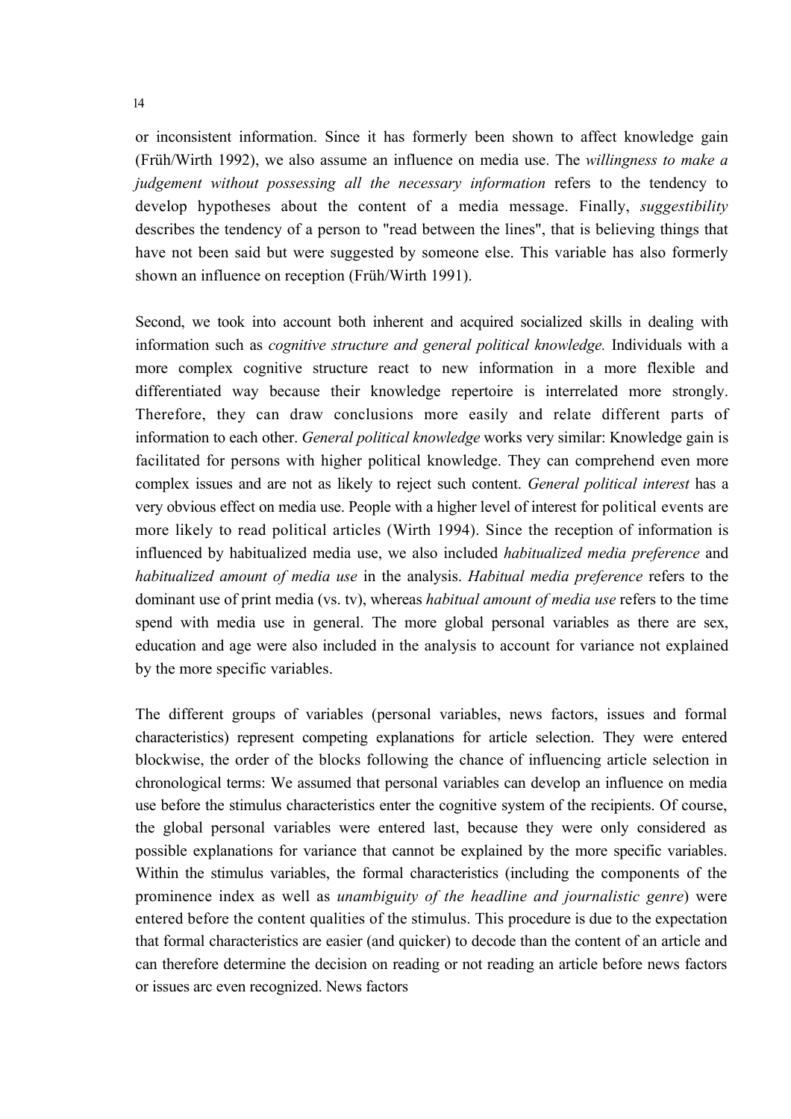or inconsistent information. Since it has formerly been shown to affect knowledge gain (Früh/Wirth 1992), we also assume an influence on media use. The *willingness to make a judgement without possessing all the necessary information* refers to the tendency to develop hypotheses about the content of a media message. Finally, *suggestibility*  describes the tendency of a person to "read between the lines", that is believing things that have not been said but were suggested by someone else. This variable has also formerly shown an influence on reception (Früh/Wirth 1991).

Second, we took into account both inherent and acquired socialized skills in dealing with information such as *cognitive structure and general political knowledge.* Individuals with a more complex cognitive structure react to new information in a more flexible and differentiated way because their knowledge repertoire is interrelated more strongly. Therefore, they can draw conclusions more easily and relate different parts of information to each other. *General political knowledge* works very similar: Knowledge gain is facilitated for persons with higher political knowledge. They can comprehend even more complex issues and are not as likely to reject such content. *General political interest* has a very obvious effect on media use. People with a higher level of interest for political events are more likely to read political articles (Wirth 1994). Since the reception of information is influenced by habitualized media use, we also included *habitualized media preference* and *habitualized amount of media use* in the analysis. *Habitual media preference* refers to the dominant use of print media (vs. tv), whereas *habitual amount of media use* refers to the time spend with media use in general. The more global personal variables as there are sex, education and age were also included in the analysis to account for variance not explained by the more specific variables.

The different groups of variables (personal variables, news factors, issues and formal characteristics) represent competing explanations for article selection. They were entered blockwise, the order of the blocks following the chance of influencing article selection in chronological terms: We assumed that personal variables can develop an influence on media use before the stimulus characteristics enter the cognitive system of the recipients. Of course, the global personal variables were entered last, because they were only considered as possible explanations for variance that cannot be explained by the more specific variables. Within the stimulus variables, the formal characteristics (including the components of the prominence index as well as *unambiguity of the headline and journalistic genre*) were entered before the content qualities of the stimulus. This procedure is due to the expectation that formal characteristics are easier (and quicker) to decode than the content of an article and can therefore determine the decision on reading or not reading an article before news factors or issues arc even recognized. News factors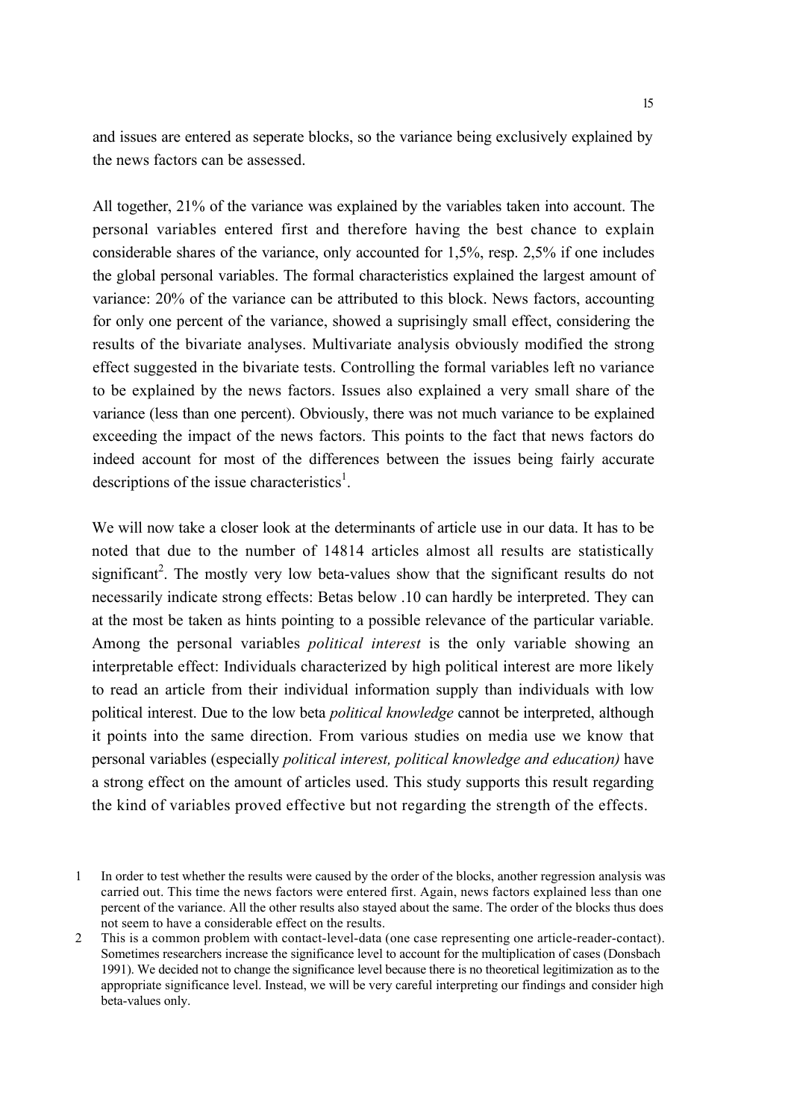and issues are entered as seperate blocks, so the variance being exclusively explained by the news factors can be assessed.

All together, 21% of the variance was explained by the variables taken into account. The personal variables entered first and therefore having the best chance to explain considerable shares of the variance, only accounted for 1,5%, resp. 2,5% if one includes the global personal variables. The formal characteristics explained the largest amount of variance: 20% of the variance can be attributed to this block. News factors, accounting for only one percent of the variance, showed a suprisingly small effect, considering the results of the bivariate analyses. Multivariate analysis obviously modified the strong effect suggested in the bivariate tests. Controlling the formal variables left no variance to be explained by the news factors. Issues also explained a very small share of the variance (less than one percent). Obviously, there was not much variance to be explained exceeding the impact of the news factors. This points to the fact that news factors do indeed account for most of the differences between the issues being fairly accurate descriptions of the issue characteristics<sup>1</sup>.

We will now take a closer look at the determinants of article use in our data. It has to be noted that due to the number of 14814 articles almost all results are statistically significant<sup>2</sup>. The mostly very low beta-values show that the significant results do not necessarily indicate strong effects: Betas below .10 can hardly be interpreted. They can at the most be taken as hints pointing to a possible relevance of the particular variable. Among the personal variables *political interest* is the only variable showing an interpretable effect: Individuals characterized by high political interest are more likely to read an article from their individual information supply than individuals with low political interest. Due to the low beta *political knowledge* cannot be interpreted, although it points into the same direction. From various studies on media use we know that personal variables (especially *political interest, political knowledge and education)* have a strong effect on the amount of articles used. This study supports this result regarding the kind of variables proved effective but not regarding the strength of the effects.

<sup>1</sup> In order to test whether the results were caused by the order of the blocks, another regression analysis was carried out. This time the news factors were entered first. Again, news factors explained less than one percent of the variance. All the other results also stayed about the same. The order of the blocks thus does not seem to have a considerable effect on the results.

<sup>2</sup> This is a common problem with contact-level-data (one case representing one article-reader-contact). Sometimes researchers increase the significance level to account for the multiplication of cases (Donsbach 1991). We decided not to change the significance level because there is no theoretical legitimization as to the appropriate significance level. Instead, we will be very careful interpreting our findings and consider high beta-values only.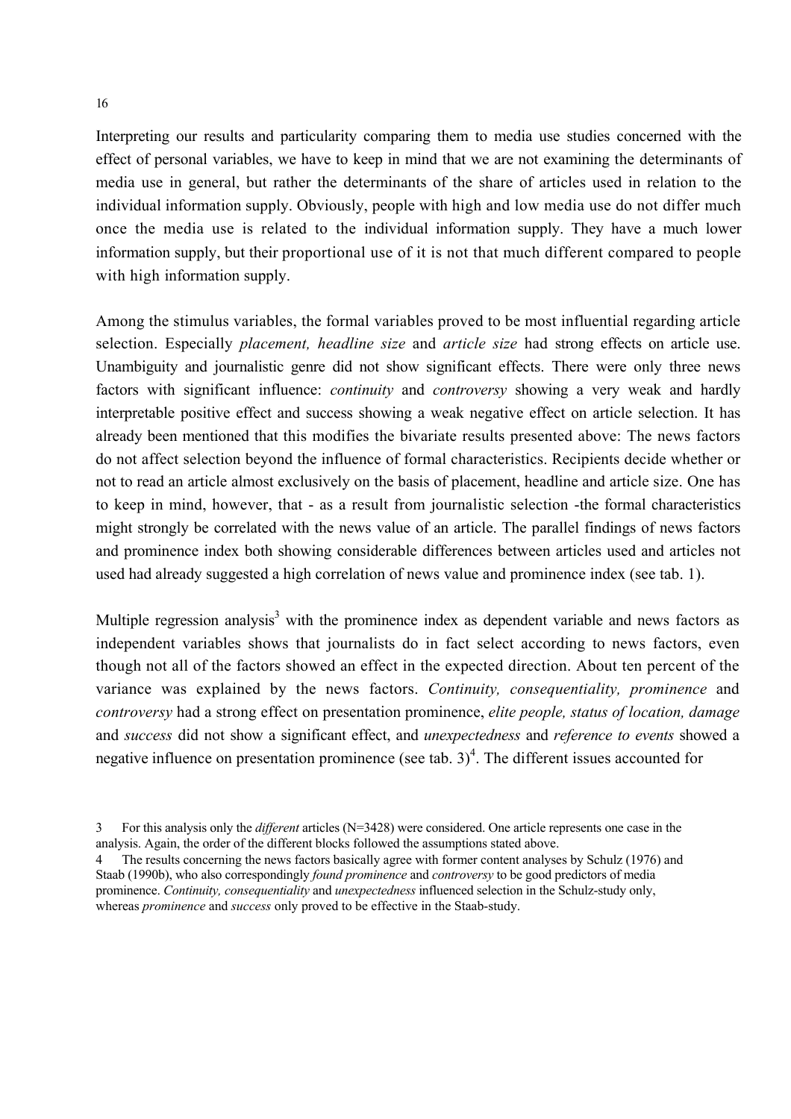Interpreting our results and particularity comparing them to media use studies concerned with the effect of personal variables, we have to keep in mind that we are not examining the determinants of media use in general, but rather the determinants of the share of articles used in relation to the individual information supply. Obviously, people with high and low media use do not differ much once the media use is related to the individual information supply. They have a much lower information supply, but their proportional use of it is not that much different compared to people with high information supply.

Among the stimulus variables, the formal variables proved to be most influential regarding article selection. Especially *placement, headline size* and *article size* had strong effects on article use. Unambiguity and journalistic genre did not show significant effects. There were only three news factors with significant influence: *continuity* and *controversy* showing a very weak and hardly interpretable positive effect and success showing a weak negative effect on article selection. It has already been mentioned that this modifies the bivariate results presented above: The news factors do not affect selection beyond the influence of formal characteristics. Recipients decide whether or not to read an article almost exclusively on the basis of placement, headline and article size. One has to keep in mind, however, that - as a result from journalistic selection -the formal characteristics might strongly be correlated with the news value of an article. The parallel findings of news factors and prominence index both showing considerable differences between articles used and articles not used had already suggested a high correlation of news value and prominence index (see tab. 1).

Multiple regression analysis<sup>3</sup> with the prominence index as dependent variable and news factors as independent variables shows that journalists do in fact select according to news factors, even though not all of the factors showed an effect in the expected direction. About ten percent of the variance was explained by the news factors. *Continuity, consequentiality, prominence* and *controversy* had a strong effect on presentation prominence, *elite people, status of location, damage*  and *success* did not show a significant effect, and *unexpectedness* and *reference to events* showed a negative influence on presentation prominence (see tab.  $3)^4$ ). The different issues accounted for

<sup>3</sup> For this analysis only the *different* articles (N=3428) were considered. One article represents one case in the analysis. Again, the order of the different blocks followed the assumptions stated above.

<sup>4</sup> The results concerning the news factors basically agree with former content analyses by Schulz (1976) and Staab (1990b), who also correspondingly *found prominence* and *controversy* to be good predictors of media prominence. *Continuity, consequentiality* and *unexpectedness* influenced selection in the Schulz-study only, whereas *prominence* and *success* only proved to be effective in the Staab-study.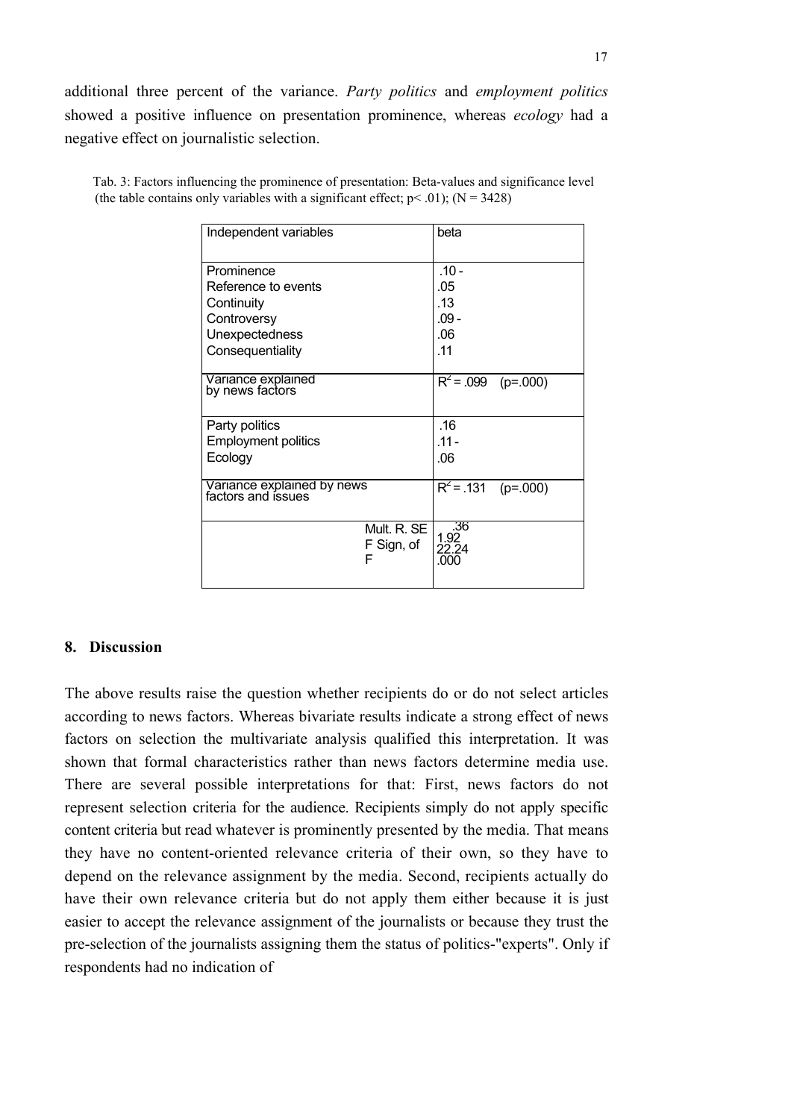additional three percent of the variance. *Party politics* and *employment politics*  showed a positive influence on presentation prominence, whereas *ecology* had a negative effect on journalistic selection.

| Independent variables                            | beta                           |                                  |                       |
|--------------------------------------------------|--------------------------------|----------------------------------|-----------------------|
| Prominence                                       |                                | $.10 -$                          |                       |
| Reference to events                              |                                | .05                              |                       |
| Continuity                                       |                                | .13                              |                       |
| Controversy                                      |                                | .09 -                            |                       |
| Unexpectedness                                   |                                | .06                              |                       |
| Consequentiality                                 |                                | .11                              |                       |
|                                                  |                                |                                  |                       |
| Variance explained<br>by news factors            |                                |                                  | $R^2$ = .099 (p=.000) |
|                                                  |                                |                                  |                       |
| Party politics                                   |                                | .16                              |                       |
| <b>Employment politics</b>                       |                                | $.11 -$                          |                       |
| Ecology                                          |                                | .06                              |                       |
|                                                  |                                | $\overline{R^2}$ = .131 (p=.000) |                       |
| Variance explained by news<br>factors and issues |                                |                                  |                       |
|                                                  |                                |                                  |                       |
|                                                  | Mult. R. SE<br>F Sign, of<br>F | .36<br>1.92<br>22.24<br>.000     |                       |

Tab. 3: Factors influencing the prominence of presentation: Beta-values and significance level (the table contains only variables with a significant effect;  $p < .01$ ); (N = 3428)

#### **8. Discussion**

The above results raise the question whether recipients do or do not select articles according to news factors. Whereas bivariate results indicate a strong effect of news factors on selection the multivariate analysis qualified this interpretation. It was shown that formal characteristics rather than news factors determine media use. There are several possible interpretations for that: First, news factors do not represent selection criteria for the audience. Recipients simply do not apply specific content criteria but read whatever is prominently presented by the media. That means they have no content-oriented relevance criteria of their own, so they have to depend on the relevance assignment by the media. Second, recipients actually do have their own relevance criteria but do not apply them either because it is just easier to accept the relevance assignment of the journalists or because they trust the pre-selection of the journalists assigning them the status of politics-"experts". Only if respondents had no indication of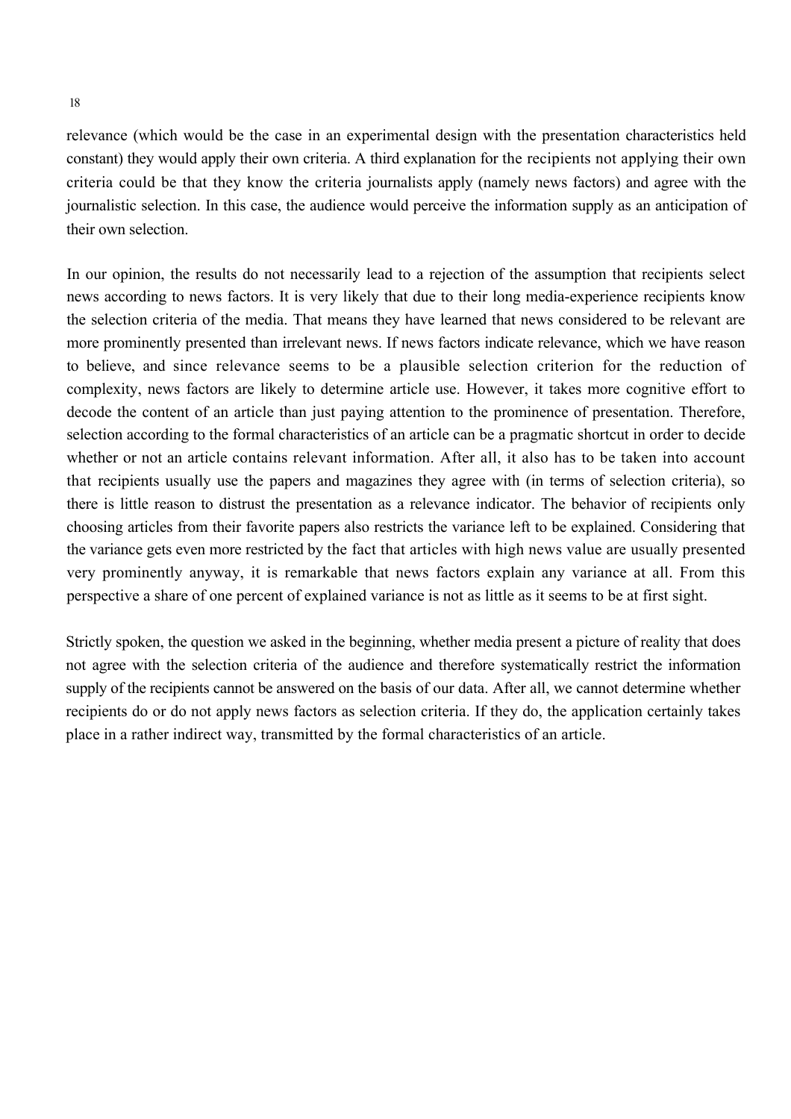relevance (which would be the case in an experimental design with the presentation characteristics held constant) they would apply their own criteria. A third explanation for the recipients not applying their own criteria could be that they know the criteria journalists apply (namely news factors) and agree with the journalistic selection. In this case, the audience would perceive the information supply as an anticipation of their own selection.

In our opinion, the results do not necessarily lead to a rejection of the assumption that recipients select news according to news factors. It is very likely that due to their long media-experience recipients know the selection criteria of the media. That means they have learned that news considered to be relevant are more prominently presented than irrelevant news. If news factors indicate relevance, which we have reason to believe, and since relevance seems to be a plausible selection criterion for the reduction of complexity, news factors are likely to determine article use. However, it takes more cognitive effort to decode the content of an article than just paying attention to the prominence of presentation. Therefore, selection according to the formal characteristics of an article can be a pragmatic shortcut in order to decide whether or not an article contains relevant information. After all, it also has to be taken into account that recipients usually use the papers and magazines they agree with (in terms of selection criteria), so there is little reason to distrust the presentation as a relevance indicator. The behavior of recipients only choosing articles from their favorite papers also restricts the variance left to be explained. Considering that the variance gets even more restricted by the fact that articles with high news value are usually presented very prominently anyway, it is remarkable that news factors explain any variance at all. From this perspective a share of one percent of explained variance is not as little as it seems to be at first sight.

Strictly spoken, the question we asked in the beginning, whether media present a picture of reality that does not agree with the selection criteria of the audience and therefore systematically restrict the information supply of the recipients cannot be answered on the basis of our data. After all, we cannot determine whether recipients do or do not apply news factors as selection criteria. If they do, the application certainly takes place in a rather indirect way, transmitted by the formal characteristics of an article.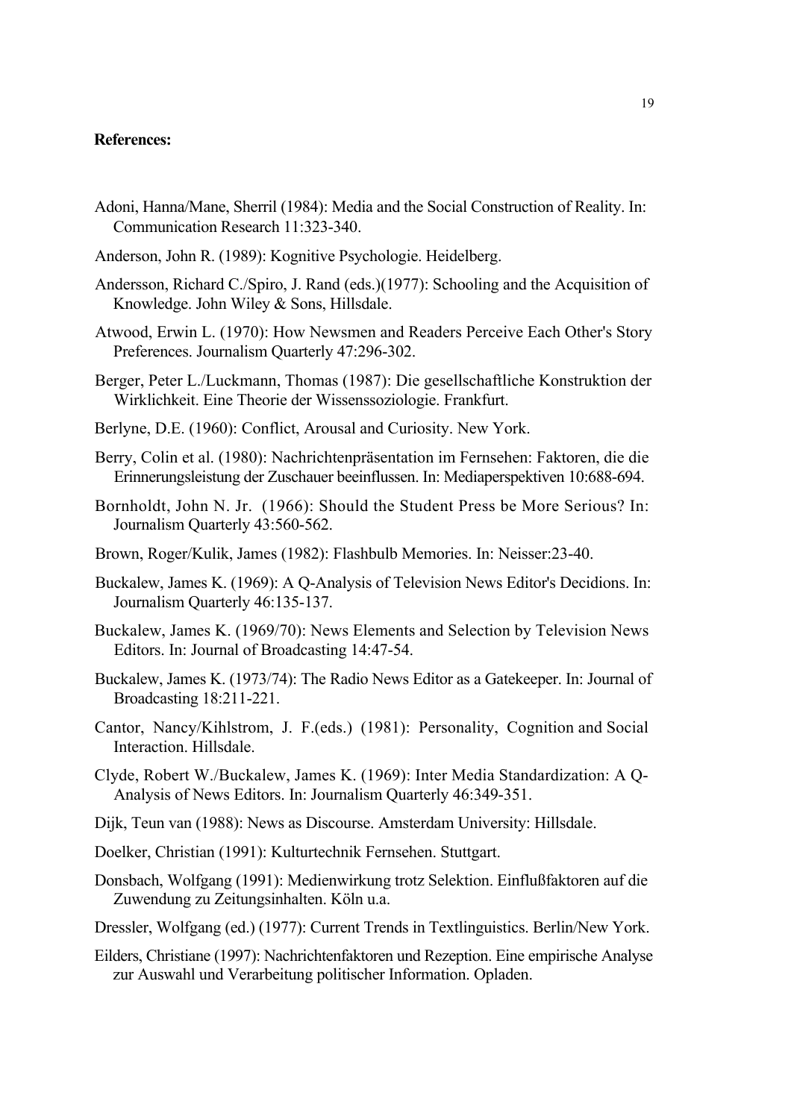### **References:**

- Adoni, Hanna/Mane, Sherril (1984): Media and the Social Construction of Reality. In: Communication Research 11:323-340.
- Anderson, John R. (1989): Kognitive Psychologie. Heidelberg.
- Andersson, Richard C./Spiro, J. Rand (eds.)(1977): Schooling and the Acquisition of Knowledge. John Wiley & Sons, Hillsdale.
- Atwood, Erwin L. (1970): How Newsmen and Readers Perceive Each Other's Story Preferences. Journalism Quarterly 47:296-302.
- Berger, Peter L./Luckmann, Thomas (1987): Die gesellschaftliche Konstruktion der Wirklichkeit. Eine Theorie der Wissenssoziologie. Frankfurt.
- Berlyne, D.E. (1960): Conflict, Arousal and Curiosity. New York.
- Berry, Colin et al. (1980): Nachrichtenpräsentation im Fernsehen: Faktoren, die die Erinnerungsleistung der Zuschauer beeinflussen. In: Mediaperspektiven 10:688-694.
- Bornholdt, John N. Jr. (1966): Should the Student Press be More Serious? In: Journalism Quarterly 43:560-562.
- Brown, Roger/Kulik, James (1982): Flashbulb Memories. In: Neisser:23-40.
- Buckalew, James K. (1969): A Q-Analysis of Television News Editor's Decidions. In: Journalism Quarterly 46:135-137.
- Buckalew, James K. (1969/70): News Elements and Selection by Television News Editors. In: Journal of Broadcasting 14:47-54.
- Buckalew, James K. (1973/74): The Radio News Editor as a Gatekeeper. In: Journal of Broadcasting 18:211-221.
- Cantor, Nancy/Kihlstrom, J. F.(eds.) (1981): Personality, Cognition and Social Interaction. Hillsdale.
- Clyde, Robert W./Buckalew, James K. (1969): Inter Media Standardization: A Q-Analysis of News Editors. In: Journalism Quarterly 46:349-351.
- Dijk, Teun van (1988): News as Discourse. Amsterdam University: Hillsdale.
- Doelker, Christian (1991): Kulturtechnik Fernsehen. Stuttgart.
- Donsbach, Wolfgang (1991): Medienwirkung trotz Selektion. Einflußfaktoren auf die Zuwendung zu Zeitungsinhalten. Köln u.a.
- Dressler, Wolfgang (ed.) (1977): Current Trends in Textlinguistics. Berlin/New York.
- Eilders, Christiane (1997): Nachrichtenfaktoren und Rezeption. Eine empirische Analyse zur Auswahl und Verarbeitung politischer Information. Opladen.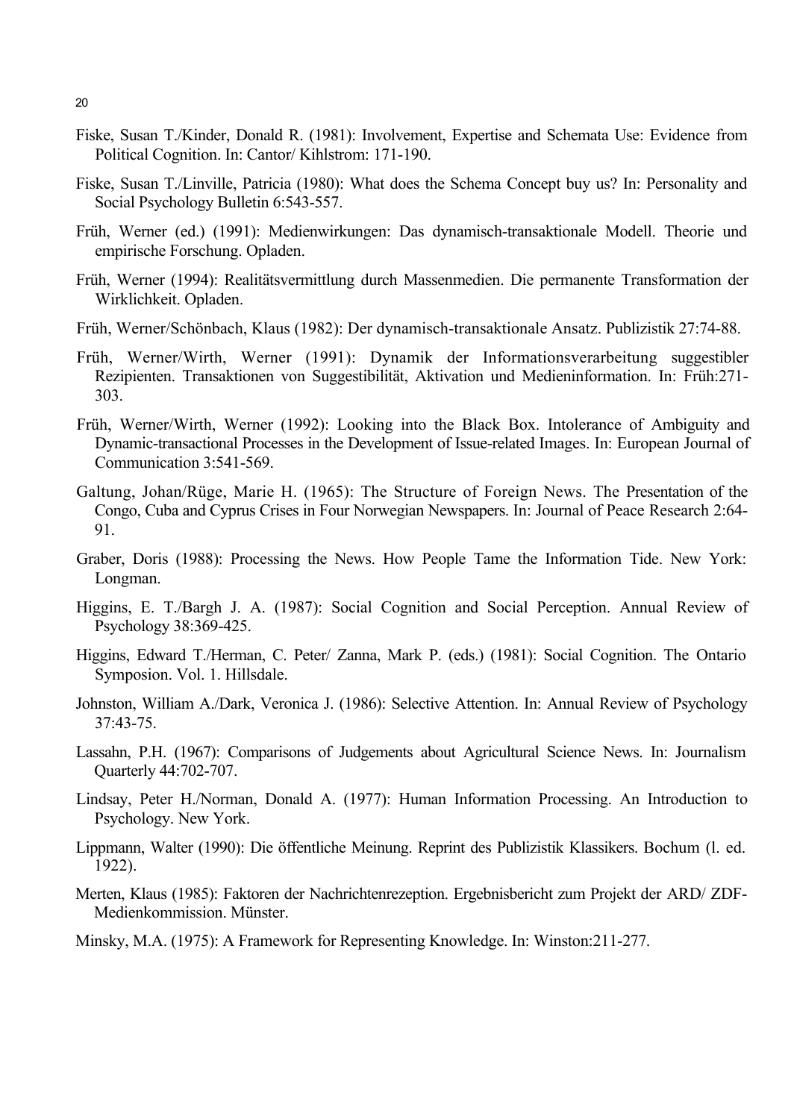- Fiske, Susan T./Kinder, Donald R. (1981): Involvement, Expertise and Schemata Use: Evidence from Political Cognition. In: Cantor/ Kihlstrom: 171-190.
- Fiske, Susan T./Linville, Patricia (1980): What does the Schema Concept buy us? In: Personality and Social Psychology Bulletin 6:543-557.
- Früh, Werner (ed.) (1991): Medienwirkungen: Das dynamisch-transaktionale Modell. Theorie und empirische Forschung. Opladen.
- Früh, Werner (1994): Realitätsvermittlung durch Massenmedien. Die permanente Transformation der Wirklichkeit. Opladen.
- Früh, Werner/Schönbach, Klaus (1982): Der dynamisch-transaktionale Ansatz. Publizistik 27:74-88.
- Früh, Werner/Wirth, Werner (1991): Dynamik der Informationsverarbeitung suggestibler Rezipienten. Transaktionen von Suggestibilität, Aktivation und Medieninformation. In: Früh:271- 303.
- Früh, Werner/Wirth, Werner (1992): Looking into the Black Box. Intolerance of Ambiguity and Dynamic-transactional Processes in the Development of Issue-related Images. In: European Journal of Communication 3:541-569.
- Galtung, Johan/Rüge, Marie H. (1965): The Structure of Foreign News. The Presentation of the Congo, Cuba and Cyprus Crises in Four Norwegian Newspapers. In: Journal of Peace Research 2:64- 91.
- Graber, Doris (1988): Processing the News. How People Tame the Information Tide. New York: Longman.
- Higgins, E. T./Bargh J. A. (1987): Social Cognition and Social Perception. Annual Review of Psychology 38:369-425.
- Higgins, Edward T./Herman, C. Peter/ Zanna, Mark P. (eds.) (1981): Social Cognition. The Ontario Symposion. Vol. 1. Hillsdale.
- Johnston, William A./Dark, Veronica J. (1986): Selective Attention. In: Annual Review of Psychology 37:43-75.
- Lassahn, P.H. (1967): Comparisons of Judgements about Agricultural Science News. In: Journalism Quarterly 44:702-707.
- Lindsay, Peter H./Norman, Donald A. (1977): Human Information Processing. An Introduction to Psychology. New York.
- Lippmann, Walter (1990): Die öffentliche Meinung. Reprint des Publizistik Klassikers. Bochum (l. ed. 1922).
- Merten, Klaus (1985): Faktoren der Nachrichtenrezeption. Ergebnisbericht zum Projekt der ARD/ ZDF-Medienkommission. Münster.
- Minsky, M.A. (1975): A Framework for Representing Knowledge. In: Winston:211-277.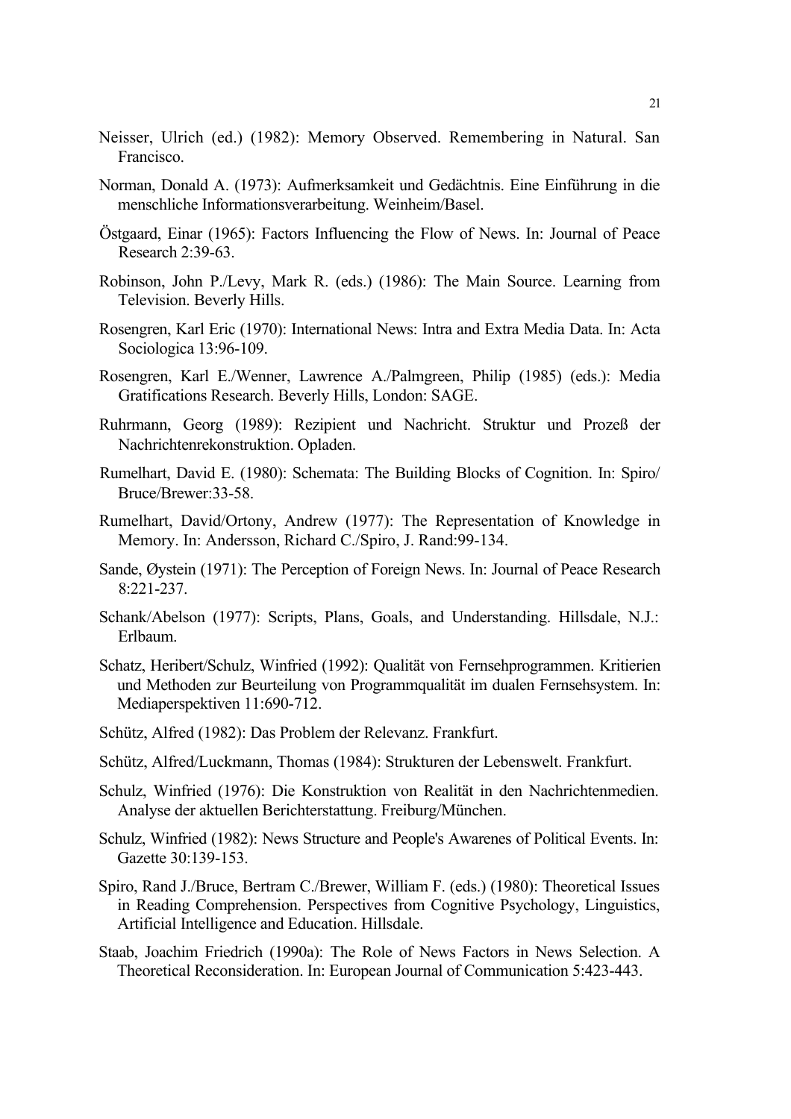- Neisser, Ulrich (ed.) (1982): Memory Observed. Remembering in Natural. San Francisco.
- Norman, Donald A. (1973): Aufmerksamkeit und Gedächtnis. Eine Einführung in die menschliche Informationsverarbeitung. Weinheim/Basel.
- Östgaard, Einar (1965): Factors Influencing the Flow of News. In: Journal of Peace Research 2:39-63.
- Robinson, John P./Levy, Mark R. (eds.) (1986): The Main Source. Learning from Television. Beverly Hills.
- Rosengren, Karl Eric (1970): International News: Intra and Extra Media Data. In: Acta Sociologica 13:96-109.
- Rosengren, Karl E./Wenner, Lawrence A./Palmgreen, Philip (1985) (eds.): Media Gratifications Research. Beverly Hills, London: SAGE.
- Ruhrmann, Georg (1989): Rezipient und Nachricht. Struktur und Prozeß der Nachrichtenrekonstruktion. Opladen.
- Rumelhart, David E. (1980): Schemata: The Building Blocks of Cognition. In: Spiro/ Bruce/Brewer:33-58.
- Rumelhart, David/Ortony, Andrew (1977): The Representation of Knowledge in Memory. In: Andersson, Richard C./Spiro, J. Rand:99-134.
- Sande, Øystein (1971): The Perception of Foreign News. In: Journal of Peace Research 8:221-237.
- Schank/Abelson (1977): Scripts, Plans, Goals, and Understanding. Hillsdale, N.J.: Erlbaum.
- Schatz, Heribert/Schulz, Winfried (1992): Qualität von Fernsehprogrammen. Kritierien und Methoden zur Beurteilung von Programmqualität im dualen Fernsehsystem. In: Mediaperspektiven 11:690-712.
- Schütz, Alfred (1982): Das Problem der Relevanz. Frankfurt.
- Schütz, Alfred/Luckmann, Thomas (1984): Strukturen der Lebenswelt. Frankfurt.
- Schulz, Winfried (1976): Die Konstruktion von Realität in den Nachrichtenmedien. Analyse der aktuellen Berichterstattung. Freiburg/München.
- Schulz, Winfried (1982): News Structure and People's Awarenes of Political Events. In: Gazette 30:139-153.
- Spiro, Rand J./Bruce, Bertram C./Brewer, William F. (eds.) (1980): Theoretical Issues in Reading Comprehension. Perspectives from Cognitive Psychology, Linguistics, Artificial Intelligence and Education. Hillsdale.
- Staab, Joachim Friedrich (1990a): The Role of News Factors in News Selection. A Theoretical Reconsideration. In: European Journal of Communication 5:423-443.